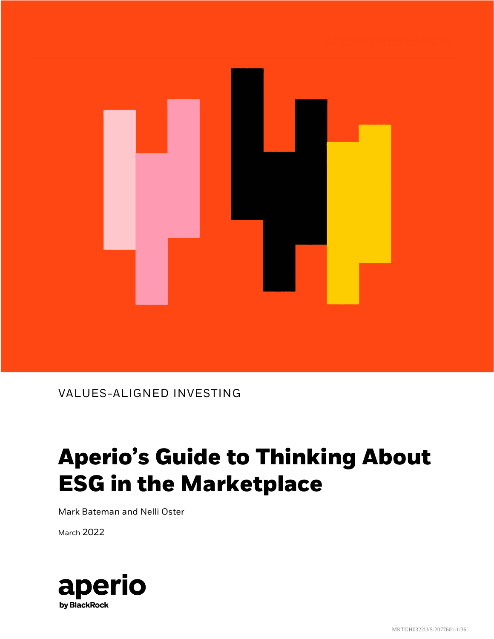

### VALUES-ALIGNED INVESTING

# **Aperio's Guide to Thinking About ESG in the Marketplace**

Mark Bateman and Nelli Oster

March 2022

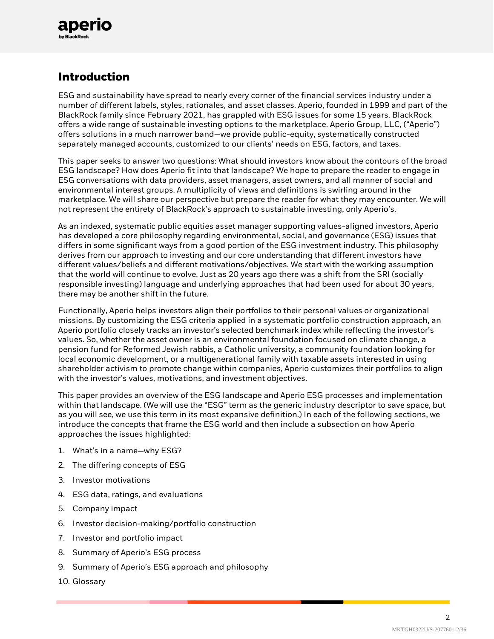

### **Introduction**

ESG and sustainability have spread to nearly every corner of the financial services industry under a number of different labels, styles, rationales, and asset classes. Aperio, founded in 1999 and part of the BlackRock family since February 2021, has grappled with ESG issues for some 15 years. BlackRock offers a wide range of sustainable investing options to the marketplace. Aperio Group, LLC, ("Aperio") offers solutions in a much narrower band—we provide public-equity, systematically constructed separately managed accounts, customized to our clients' needs on ESG, factors, and taxes.

This paper seeks to answer two questions: What should investors know about the contours of the broad ESG landscape? How does Aperio fit into that landscape? We hope to prepare the reader to engage in ESG conversations with data providers, asset managers, asset owners, and all manner of social and environmental interest groups. A multiplicity of views and definitions is swirling around in the marketplace. We will share our perspective but prepare the reader for what they may encounter. We will not represent the entirety of BlackRock's approach to sustainable investing, only Aperio's.

As an indexed, systematic public equities asset manager supporting values-aligned investors, Aperio has developed a core philosophy regarding environmental, social, and governance (ESG) issues that differs in some significant ways from a good portion of the ESG investment industry. This philosophy derives from our approach to investing and our core understanding that different investors have different values/beliefs and different motivations/objectives. We start with the working assumption that the world will continue to evolve. Just as 20 years ago there was a shift from the SRI (socially responsible investing) language and underlying approaches that had been used for about 30 years, there may be another shift in the future.

Functionally, Aperio helps investors align their portfolios to their personal values or organizational missions. By customizing the ESG criteria applied in a systematic portfolio construction approach, an Aperio portfolio closely tracks an investor's selected benchmark index while reflecting the investor's values. So, whether the asset owner is an environmental foundation focused on climate change, a pension fund for Reformed Jewish rabbis, a Catholic university, a community foundation looking for local economic development, or a multigenerational family with taxable assets interested in using shareholder activism to promote change within companies, Aperio customizes their portfolios to align with the investor's values, motivations, and investment objectives.

This paper provides an overview of the ESG landscape and Aperio ESG processes and implementation within that landscape. (We will use the "ESG" term as the generic industry descriptor to save space, but as you will see, we use this term in its most expansive definition.) In each of the following sections, we introduce the concepts that frame the ESG world and then include a subsection on how Aperio approaches the issues highlighted:

- 1. What's in a name—why ESG?
- 2. The differing concepts of ESG
- 3. Investor motivations
- 4. ESG data, ratings, and evaluations
- 5. Company impact
- 6. Investor decision-making/portfolio construction
- 7. Investor and portfolio impact
- 8. Summary of Aperio's ESG process
- 9. Summary of Aperio's ESG approach and philosophy
- 10. Glossary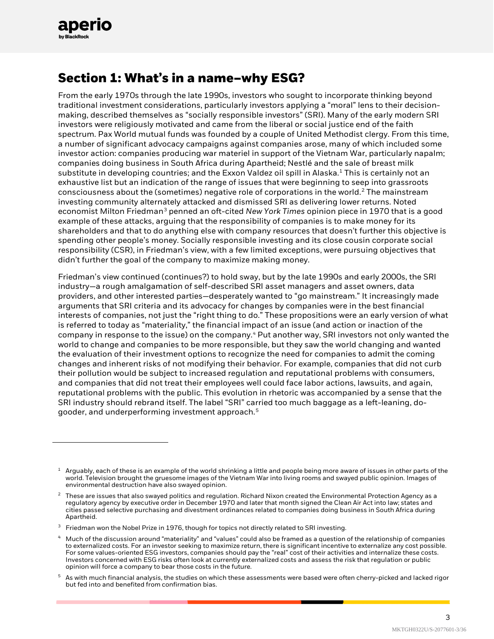

# **Section 1: What's in a name—why ESG?**

From the early 1970s through the late 1990s, investors who sought to incorporate thinking beyond traditional investment considerations, particularly investors applying a "moral" lens to their decisionmaking, described themselves as "socially responsible investors" (SRI). Many of the early modern SRI investors were religiously motivated and came from the liberal or social justice end of the faith spectrum. Pax World mutual funds was founded by a couple of United Methodist clergy. From this time, a number of significant advocacy campaigns against companies arose, many of which included some investor action: companies producing war materiel in support of the Vietnam War, particularly napalm; companies doing business in South Africa during Apartheid; Nestlé and the sale of breast milk substitute in developing countries; and the Exxon Valdez oil spill in Alaska.<sup>[1](#page-2-0)</sup> This is certainly not an exhaustive list but an indication of the range of issues that were beginning to seep into grassroots consciousness about the (sometimes) negative role of corporations in the world.[2](#page-2-1) The mainstream investing community alternately attacked and dismissed SRI as delivering lower returns. Noted economist Milton Friedman[3](#page-2-2) penned an oft-cited *New York Times* opinion piece in 1970 that is a good example of these attacks, arguing that the responsibility of companies is to make money for its shareholders and that to do anything else with company resources that doesn't further this objective is spending other people's money. Socially responsible investing and its close cousin corporate social responsibility (CSR), in Friedman's view, with a few limited exceptions, were pursuing objectives that didn't further the goal of the company to maximize making money.

Friedman's view continued (continues?) to hold sway, but by the late 1990s and early 2000s, the SRI industry—a rough amalgamation of self-described SRI asset managers and asset owners, data providers, and other interested parties—desperately wanted to "go mainstream." It increasingly made arguments that SRI criteria and its advocacy for changes by companies were in the best financial interests of companies, not just the "right thing to do." These propositions were an early version of what is referred to today as "materiality," the financial impact of an issue (and action or inaction of the company in response to the issue) on the company.[4](#page-2-3) Put another way, SRI investors not only wanted the world to change and companies to be more responsible, but they saw the world changing and wanted the evaluation of their investment options to recognize the need for companies to admit the coming changes and inherent risks of not modifying their behavior. For example, companies that did not curb their pollution would be subject to increased regulation and reputational problems with consumers, and companies that did not treat their employees well could face labor actions, lawsuits, and again, reputational problems with the public. This evolution in rhetoric was accompanied by a sense that the SRI industry should rebrand itself. The label "SRI" carried too much baggage as a left-leaning, dogooder, and underperforming investment approach.[5](#page-2-4)

3

<span id="page-2-0"></span> $1$  Arguably, each of these is an example of the world shrinking a little and people being more aware of issues in other parts of the world. Television brought the gruesome images of the Vietnam War into living rooms and swayed public opinion. Images of environmental destruction have also swayed opinion.

<span id="page-2-1"></span> $2$  These are issues that also swayed politics and regulation. Richard Nixon created the Environmental Protection Agency as a regulatory agency by executive order in December 1970 and later that month signed the Clean Air Act into law; states and cities passed selective purchasing and divestment ordinances related to companies doing business in South Africa during Apartheid.

<span id="page-2-2"></span><sup>&</sup>lt;sup>3</sup> Friedman won the Nobel Prize in 1976, though for topics not directly related to SRI investing.

<span id="page-2-3"></span><sup>4</sup> Much of the discussion around "materiality" and "values" could also be framed as a question of the relationship of companies to externalized costs. For an investor seeking to maximize return, there is significant incentive to externalize any cost possible. For some values-oriented ESG investors, companies should pay the "real" cost of their activities and internalize these costs. Investors concerned with ESG risks often look at currently externalized costs and assess the risk that regulation or public opinion will force a company to bear those costs in the future.

<span id="page-2-4"></span> $5$  As with much financial analysis, the studies on which these assessments were based were often cherry-picked and lacked rigor but fed into and benefited from confirmation bias.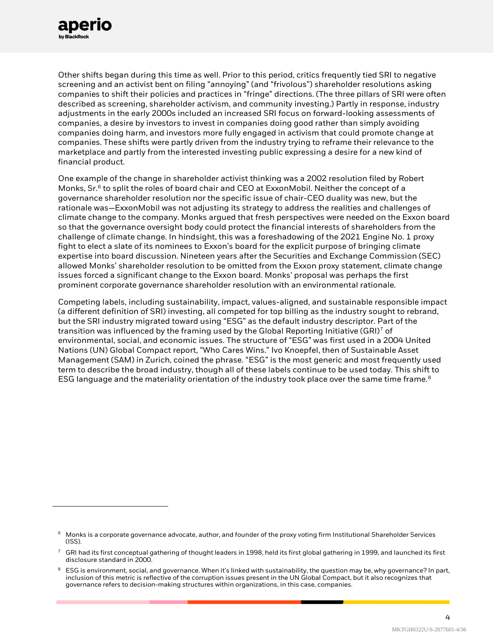

Other shifts began during this time as well. Prior to this period, critics frequently tied SRI to negative screening and an activist bent on filing "annoying" (and "frivolous") shareholder resolutions asking companies to shift their policies and practices in "fringe" directions. (The three pillars of SRI were often described as screening, shareholder activism, and community investing.) Partly in response, industry adjustments in the early 2000s included an increased SRI focus on forward-looking assessments of companies, a desire by investors to invest in companies doing good rather than simply avoiding companies doing harm, and investors more fully engaged in activism that could promote change at companies. These shifts were partly driven from the industry trying to reframe their relevance to the marketplace and partly from the interested investing public expressing a desire for a new kind of financial product.

One example of the change in shareholder activist thinking was a 2002 resolution filed by Robert Monks, Sr.<sup>[6](#page-3-0)</sup> to split the roles of board chair and CEO at ExxonMobil. Neither the concept of a governance shareholder resolution nor the specific issue of chair-CEO duality was new, but the rationale was—ExxonMobil was not adjusting its strategy to address the realities and challenges of climate change to the company. Monks argued that fresh perspectives were needed on the Exxon board so that the governance oversight body could protect the financial interests of shareholders from the challenge of climate change. In hindsight, this was a foreshadowing of the 2021 Engine No. 1 proxy fight to elect a slate of its nominees to Exxon's board for the explicit purpose of bringing climate expertise into board discussion. Nineteen years after the Securities and Exchange Commission (SEC) allowed Monks' shareholder resolution to be omitted from the Exxon proxy statement, climate change issues forced a significant change to the Exxon board. Monks' proposal was perhaps the first prominent corporate governance shareholder resolution with an environmental rationale.

Competing labels, including sustainability, impact, values-aligned, and sustainable responsible impact (a different definition of SRI) investing, all competed for top billing as the industry sought to rebrand, but the SRI industry migrated toward using "ESG" as the default industry descriptor. Part of the transition was influenced by the framing used by the Global Reporting Initiative (GRI)<sup>[7](#page-3-1)</sup> of environmental, social, and economic issues. The structure of "ESG" was first used in a 2004 United Nations (UN) Global Compact report, "Who Cares Wins." Ivo Knoepfel, then of Sustainable Asset Management (SAM) in Zurich, coined the phrase. "ESG" is the most generic and most frequently used term to describe the broad industry, though all of these labels continue to be used today. This shift to ESG language and the materiality orientation of the industry took place over the same time frame. $^8$  $^8$ 

<span id="page-3-0"></span><sup>&</sup>lt;sup>6</sup> Monks is a corporate governance advocate, author, and founder of the proxy voting firm Institutional Shareholder Services (ISS).

<span id="page-3-1"></span><sup>7</sup> GRI had its first conceptual gathering of thought leaders in 1998, held its first global gathering in 1999, and launched its first disclosure standard in 2000.

<span id="page-3-2"></span><sup>8</sup> ESG is environment, social, and governance. When it's linked with sustainability, the question may be, why governance? In part, inclusion of this metric is reflective of the corruption issues present in the UN Global Compact, but it also recognizes that governance refers to decision-making structures within organizations, in this case, companies.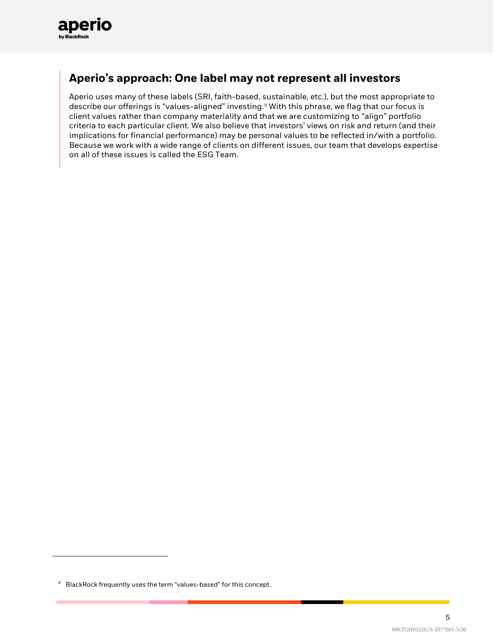

### **Aperio's approach: One label may not represent all investors**

Aperio uses many of these labels (SRI, faith-based, sustainable, etc.), but the most appropriate to describe our offerings is "values-aligned" investing. [9](#page-4-0) With this phrase, we flag that our focus is client values rather than company materiality and that we are customizing to "align" portfolio criteria to each particular client. We also believe that investors' views on risk and return (and their implications for financial performance) may be personal values to be reflected in/with a portfolio. Because we work with a wide range of clients on different issues, our team that develops expertise on all of these issues is called the ESG Team.

<span id="page-4-0"></span><sup>&</sup>lt;sup>9</sup> BlackRock frequently uses the term "values-based" for this concept.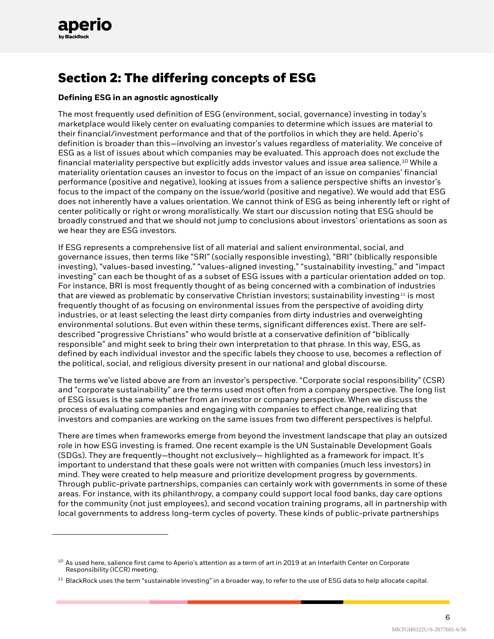

# **Section 2: The differing concepts of ESG**

#### **Defining ESG in an agnostic agnostically**

The most frequently used definition of ESG (environment, social, governance) investing in today's marketplace would likely center on evaluating companies to determine which issues are material to their financial/investment performance and that of the portfolios in which they are held. Aperio's definition is broader than this—involving an investor's values regardless of materiality. We conceive of ESG as a list of issues about which companies may be evaluated. This approach does not exclude the financial materiality perspective but explicitly adds investor values and issue area salience.[10](#page-5-0) While a materiality orientation causes an investor to focus on the impact of an issue on companies' financial performance (positive and negative), looking at issues from a salience perspective shifts an investor's focus to the impact of the company on the issue/world (positive and negative). We would add that ESG does not inherently have a values orientation. We cannot think of ESG as being inherently left or right of center politically or right or wrong moralistically. We start our discussion noting that ESG should be broadly construed and that we should not jump to conclusions about investors' orientations as soon as we hear they are ESG investors.

If ESG represents a comprehensive list of all material and salient environmental, social, and governance issues, then terms like "SRI" (socially responsible investing), "BRI" (biblically responsible investing), "values-based investing," "values-aligned investing," "sustainability investing," and "impact investing" can each be thought of as a subset of ESG issues with a particular orientation added on top. For instance, BRI is most frequently thought of as being concerned with a combination of industries that are viewed as problematic by conservative Christian investors; sustainability investing<sup>[11](#page-5-1)</sup> is most frequently thought of as focusing on environmental issues from the perspective of avoiding dirty industries, or at least selecting the least dirty companies from dirty industries and overweighting environmental solutions. But even within these terms, significant differences exist. There are selfdescribed "progressive Christians" who would bristle at a conservative definition of "biblically responsible" and might seek to bring their own interpretation to that phrase. In this way, ESG, as defined by each individual investor and the specific labels they choose to use, becomes a reflection of the political, social, and religious diversity present in our national and global discourse.

The terms we've listed above are from an investor's perspective. "Corporate social responsibility" (CSR) and "corporate sustainability" are the terms used most often from a company perspective. The long list of ESG issues is the same whether from an investor or company perspective. When we discuss the process of evaluating companies and engaging with companies to effect change, realizing that investors and companies are working on the same issues from two different perspectives is helpful.

There are times when frameworks emerge from beyond the investment landscape that play an outsized role in how ESG investing is framed. One recent example is the UN Sustainable Development Goals (SDGs). They are frequently—thought not exclusively— highlighted as a framework for impact. It's important to understand that these goals were not written with companies (much less investors) in mind. They were created to help measure and prioritize development progress by governments. Through public-private partnerships, companies can certainly work with governments in some of these areas. For instance, with its philanthropy, a company could support local food banks, day care options for the community (not just employees), and second vocation training programs, all in partnership with local governments to address long-term cycles of poverty. These kinds of public-private partnerships

6

<span id="page-5-0"></span> $10$  As used here, salience first came to Aperio's attention as a term of art in 2019 at an Interfaith Center on Corporate Responsibility (ICCR) meeting.

<span id="page-5-1"></span> $11$  BlackRock uses the term "sustainable investing" in a broader way, to refer to the use of ESG data to help allocate capital.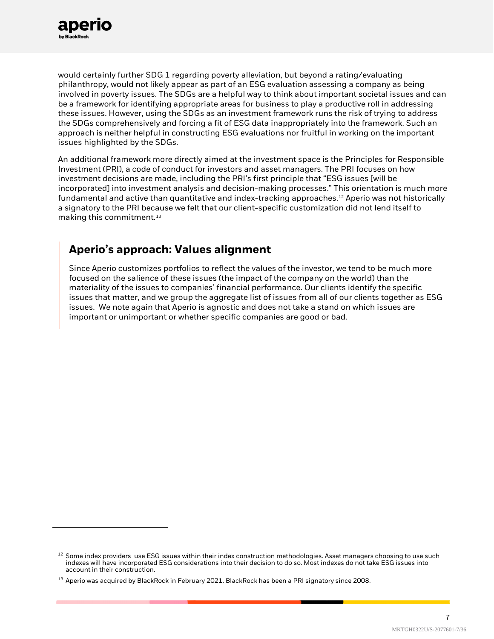

would certainly further SDG 1 regarding poverty alleviation, but beyond a rating/evaluating philanthropy, would not likely appear as part of an ESG evaluation assessing a company as being involved in poverty issues. The SDGs are a helpful way to think about important societal issues and can be a framework for identifying appropriate areas for business to play a productive roll in addressing these issues. However, using the SDGs as an investment framework runs the risk of trying to address the SDGs comprehensively and forcing a fit of ESG data inappropriately into the framework. Such an approach is neither helpful in constructing ESG evaluations nor fruitful in working on the important issues highlighted by the SDGs.

An additional framework more directly aimed at the investment space is the Principles for Responsible Investment (PRI), a code of conduct for investors and asset managers. The PRI focuses on how investment decisions are made, including the PRI's first principle that "ESG issues [will be incorporated] into investment analysis and decision-making processes." This orientation is much more fundamental and active than quantitative and index-tracking approaches. [12](#page-6-0) Aperio was not historically a signatory to the PRI because we felt that our client-specific customization did not lend itself to making this commitment.<sup>[13](#page-6-1)</sup>

### **Aperio's approach: Values alignment**

Since Aperio customizes portfolios to reflect the values of the investor, we tend to be much more focused on the salience of these issues (the impact of the company on the world) than the materiality of the issues to companies' financial performance. Our clients identify the specific issues that matter, and we group the aggregate list of issues from all of our clients together as ESG issues. We note again that Aperio is agnostic and does not take a stand on which issues are important or unimportant or whether specific companies are good or bad.

<span id="page-6-0"></span> $12$  Some index providers use ESG issues within their index construction methodologies. Asset managers choosing to use such indexes will have incorporated ESG considerations into their decision to do so. Most indexes do not take ESG issues into account in their construction.

<span id="page-6-1"></span> $^{13}$  Aperio was acquired by BlackRock in February 2021. BlackRock has been a PRI signatory since 2008.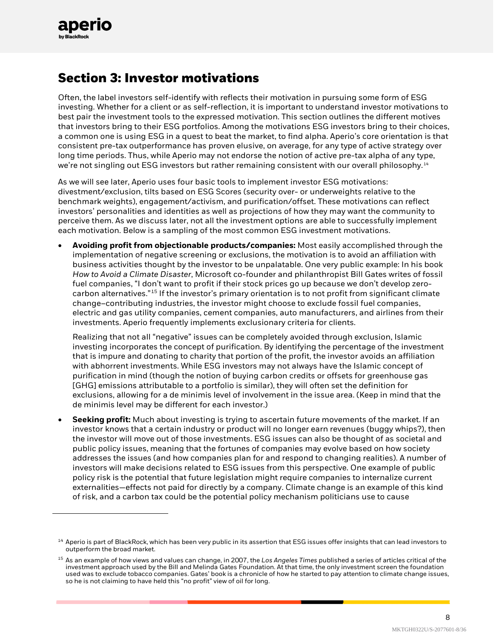

# **Section 3: Investor motivations**

Often, the label investors self-identify with reflects their motivation in pursuing some form of ESG investing. Whether for a client or as self-reflection, it is important to understand investor motivations to best pair the investment tools to the expressed motivation. This section outlines the different motives that investors bring to their ESG portfolios. Among the motivations ESG investors bring to their choices, a common one is using ESG in a quest to beat the market, to find alpha. Aperio's core orientation is that consistent pre-tax outperformance has proven elusive, on average, for any type of active strategy over long time periods. Thus, while Aperio may not endorse the notion of active pre-tax alpha of any type, we're not singling out ESG investors but rather remaining consistent with our overall philosophy.<sup>[14](#page-7-0)</sup>

As we will see later, Aperio uses four basic tools to implement investor ESG motivations: divestment/exclusion, tilts based on ESG Scores (security over- or underweights relative to the benchmark weights), engagement/activism, and purification/offset. These motivations can reflect investors' personalities and identities as well as projections of how they may want the community to perceive them. As we discuss later, not all the investment options are able to successfully implement each motivation. Below is a sampling of the most common ESG investment motivations.

• **Avoiding profit from objectionable products/companies:** Most easily accomplished through the implementation of negative screening or exclusions, the motivation is to avoid an affiliation with business activities thought by the investor to be unpalatable. One very public example: In his book *How to Avoid a Climate Disaster*, Microsoft co-founder and philanthropist Bill Gates writes of fossil fuel companies, "I don't want to profit if their stock prices go up because we don't develop zerocarbon alternatives."[15](#page-7-1) If the investor's primary orientation is to not profit from significant climate change–contributing industries, the investor might choose to exclude fossil fuel companies, electric and gas utility companies, cement companies, auto manufacturers, and airlines from their investments. Aperio frequently implements exclusionary criteria for clients.

Realizing that not all "negative" issues can be completely avoided through exclusion, Islamic investing incorporates the concept of purification. By identifying the percentage of the investment that is impure and donating to charity that portion of the profit, the investor avoids an affiliation with abhorrent investments. While ESG investors may not always have the Islamic concept of purification in mind (though the notion of buying carbon credits or offsets for greenhouse gas [GHG] emissions attributable to a portfolio is similar), they will often set the definition for exclusions, allowing for a de minimis level of involvement in the issue area. (Keep in mind that the de minimis level may be different for each investor.)

• **Seeking profit:** Much about investing is trying to ascertain future movements of the market. If an investor knows that a certain industry or product will no longer earn revenues (buggy whips?), then the investor will move out of those investments. ESG issues can also be thought of as societal and public policy issues, meaning that the fortunes of companies may evolve based on how society addresses the issues (and how companies plan for and respond to changing realities). A number of investors will make decisions related to ESG issues from this perspective. One example of public policy risk is the potential that future legislation might require companies to internalize current externalities—effects not paid for directly by a company. Climate change is an example of this kind of risk, and a carbon tax could be the potential policy mechanism politicians use to cause

<span id="page-7-0"></span> $14$  Aperio is part of BlackRock, which has been very public in its assertion that ESG issues offer insights that can lead investors to outperform the broad market.

<span id="page-7-1"></span><sup>15</sup> As an example of how views and values can change, in 2007, the *Los Angeles Times* published a series of articles critical of the investment approach used by the Bill and Melinda Gates Foundation. At that time, the only investment screen the foundation used was to exclude tobacco companies. Gates' book is a chronicle of how he started to pay attention to climate change issues, so he is not claiming to have held this "no profit" view of oil for long.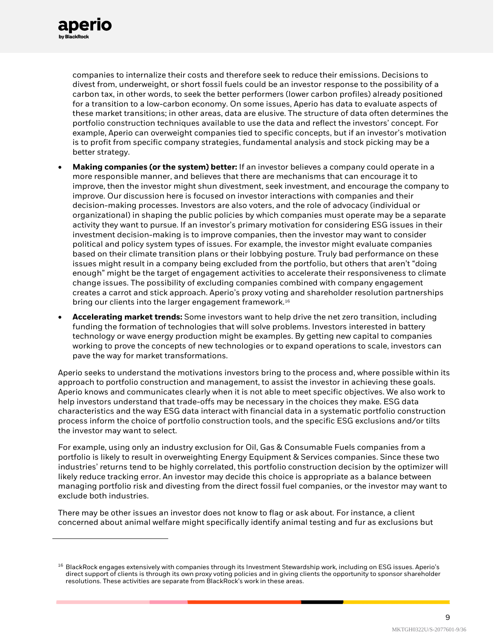

companies to internalize their costs and therefore seek to reduce their emissions. Decisions to divest from, underweight, or short fossil fuels could be an investor response to the possibility of a carbon tax, in other words, to seek the better performers (lower carbon profiles) already positioned for a transition to a low-carbon economy. On some issues, Aperio has data to evaluate aspects of these market transitions; in other areas, data are elusive. The structure of data often determines the portfolio construction techniques available to use the data and reflect the investors' concept. For example, Aperio can overweight companies tied to specific concepts, but if an investor's motivation is to profit from specific company strategies, fundamental analysis and stock picking may be a better strategy.

- **Making companies (or the system) better:** If an investor believes a company could operate in a more responsible manner, and believes that there are mechanisms that can encourage it to improve, then the investor might shun divestment, seek investment, and encourage the company to improve. Our discussion here is focused on investor interactions with companies and their decision-making processes. Investors are also voters, and the role of advocacy (individual or organizational) in shaping the public policies by which companies must operate may be a separate activity they want to pursue. If an investor's primary motivation for considering ESG issues in their investment decision-making is to improve companies, then the investor may want to consider political and policy system types of issues. For example, the investor might evaluate companies based on their climate transition plans or their lobbying posture. Truly bad performance on these issues might result in a company being excluded from the portfolio, but others that aren't "doing enough" might be the target of engagement activities to accelerate their responsiveness to climate change issues. The possibility of excluding companies combined with company engagement creates a carrot and stick approach. Aperio's proxy voting and shareholder resolution partnerships bring our clients into the larger engagement framework.<sup>[16](#page-8-0)</sup>
- **Accelerating market trends:** Some investors want to help drive the net zero transition, including funding the formation of technologies that will solve problems. Investors interested in battery technology or wave energy production might be examples. By getting new capital to companies working to prove the concepts of new technologies or to expand operations to scale, investors can pave the way for market transformations.

Aperio seeks to understand the motivations investors bring to the process and, where possible within its approach to portfolio construction and management, to assist the investor in achieving these goals. Aperio knows and communicates clearly when it is not able to meet specific objectives. We also work to help investors understand that trade-offs may be necessary in the choices they make. ESG data characteristics and the way ESG data interact with financial data in a systematic portfolio construction process inform the choice of portfolio construction tools, and the specific ESG exclusions and/or tilts the investor may want to select.

For example, using only an industry exclusion for Oil, Gas & Consumable Fuels companies from a portfolio is likely to result in overweighting Energy Equipment & Services companies. Since these two industries' returns tend to be highly correlated, this portfolio construction decision by the optimizer will likely reduce tracking error. An investor may decide this choice is appropriate as a balance between managing portfolio risk and divesting from the direct fossil fuel companies, or the investor may want to exclude both industries.

There may be other issues an investor does not know to flag or ask about. For instance, a client concerned about animal welfare might specifically identify animal testing and fur as exclusions but

 $\mathsf{o}$ 

<span id="page-8-0"></span> $16$  BlackRock engages extensively with companies through its Investment Stewardship work, including on ESG issues. Aperio's direct support of clients is through its own proxy voting policies and in giving clients the opportunity to sponsor shareholder resolutions. These activities are separate from BlackRock's work in these areas.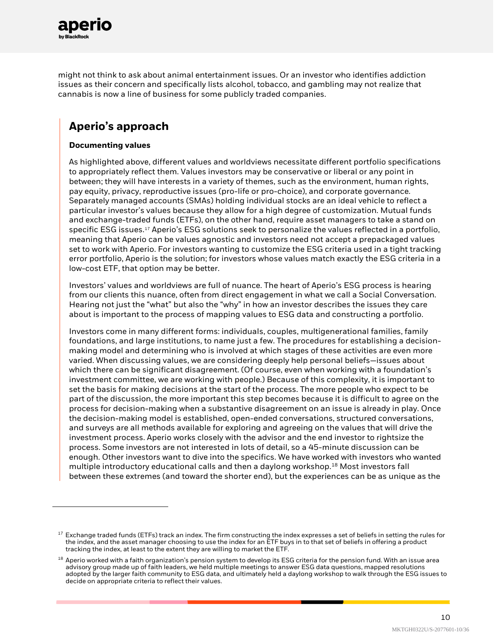

might not think to ask about animal entertainment issues. Or an investor who identifies addiction issues as their concern and specifically lists alcohol, tobacco, and gambling may not realize that cannabis is now a line of business for some publicly traded companies.

### **Aperio's approach**

#### **Documenting values**

As highlighted above, different values and worldviews necessitate different portfolio specifications to appropriately reflect them. Values investors may be conservative or liberal or any point in between; they will have interests in a variety of themes, such as the environment, human rights, pay equity, privacy, reproductive issues (pro-life or pro-choice), and corporate governance. Separately managed accounts (SMAs) holding individual stocks are an ideal vehicle to reflect a particular investor's values because they allow for a high degree of customization. Mutual funds and exchange-traded funds (ETFs), on the other hand, require asset managers to take a stand on specific ESG issues. [17](#page-9-0) Aperio's ESG solutions seek to personalize the values reflected in a portfolio, meaning that Aperio can be values agnostic and investors need not accept a prepackaged values set to work with Aperio. For investors wanting to customize the ESG criteria used in a tight tracking error portfolio, Aperio is the solution; for investors whose values match exactly the ESG criteria in a low-cost ETF, that option may be better.

Investors' values and worldviews are full of nuance. The heart of Aperio's ESG process is hearing from our clients this nuance, often from direct engagement in what we call a Social Conversation. Hearing not just the "what" but also the "why" in how an investor describes the issues they care about is important to the process of mapping values to ESG data and constructing a portfolio.

Investors come in many different forms: individuals, couples, multigenerational families, family foundations, and large institutions, to name just a few. The procedures for establishing a decisionmaking model and determining who is involved at which stages of these activities are even more varied. When discussing values, we are considering deeply help personal beliefs—issues about which there can be significant disagreement. (Of course, even when working with a foundation's investment committee, we are working with people.) Because of this complexity, it is important to set the basis for making decisions at the start of the process. The more people who expect to be part of the discussion, the more important this step becomes because it is difficult to agree on the process for decision-making when a substantive disagreement on an issue is already in play. Once the decision-making model is established, open-ended conversations, structured conversations, and surveys are all methods available for exploring and agreeing on the values that will drive the investment process. Aperio works closely with the advisor and the end investor to rightsize the process. Some investors are not interested in lots of detail, so a 45-minute discussion can be enough. Other investors want to dive into the specifics. We have worked with investors who wanted multiple introductory educational calls and then a daylong workshop.<sup>[18](#page-9-1)</sup> Most investors fall between these extremes (and toward the shorter end), but the experiences can be as unique as the

<span id="page-9-0"></span><sup>&</sup>lt;sup>17</sup> Exchange traded funds (ETFs) track an index. The firm constructing the index expresses a set of beliefs in setting the rules for the index, and the asset manager choosing to use the index for an ETF buys in to that set of beliefs in offering a product tracking the index, at least to the extent they are willing to market the ETF.

<span id="page-9-1"></span> $18$  Aperio worked with a faith organization's pension system to develop its ESG criteria for the pension fund. With an issue area advisory group made up of faith leaders, we held multiple meetings to answer ESG data questions, mapped resolutions adopted by the larger faith community to ESG data, and ultimately held a daylong workshop to walk through the ESG issues to decide on appropriate criteria to reflect their values.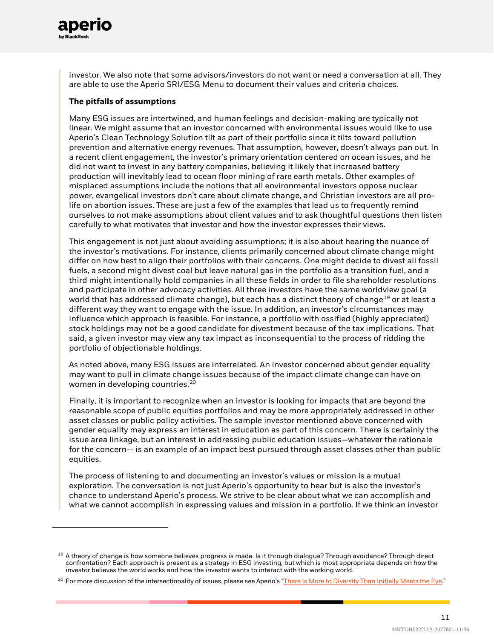

investor. We also note that some advisors/investors do not want or need a conversation at all. They are able to use the Aperio SRI/ESG Menu to document their values and criteria choices.

#### **The pitfalls of assumptions**

Many ESG issues are intertwined, and human feelings and decision-making are typically not linear. We might assume that an investor concerned with environmental issues would like to use Aperio's Clean Technology Solution tilt as part of their portfolio since it tilts toward pollution prevention and alternative energy revenues. That assumption, however, doesn't always pan out. In a recent client engagement, the investor's primary orientation centered on ocean issues, and he did not want to invest in any battery companies, believing it likely that increased battery production will inevitably lead to ocean floor mining of rare earth metals. Other examples of misplaced assumptions include the notions that all environmental investors oppose nuclear power, evangelical investors don't care about climate change, and Christian investors are all prolife on abortion issues. These are just a few of the examples that lead us to frequently remind ourselves to not make assumptions about client values and to ask thoughtful questions then listen carefully to what motivates that investor and how the investor expresses their views.

This engagement is not just about avoiding assumptions; it is also about hearing the nuance of the investor's motivations. For instance, clients primarily concerned about climate change might differ on how best to align their portfolios with their concerns. One might decide to divest all fossil fuels, a second might divest coal but leave natural gas in the portfolio as a transition fuel, and a third might intentionally hold companies in all these fields in order to file shareholder resolutions and participate in other advocacy activities. All three investors have the same worldview goal (a world that has addressed climate change), but each has a distinct theory of change<sup>[19](#page-10-0)</sup> or at least a different way they want to engage with the issue. In addition, an investor's circumstances may influence which approach is feasible. For instance, a portfolio with ossified (highly appreciated) stock holdings may not be a good candidate for divestment because of the tax implications. That said, a given investor may view any tax impact as inconsequential to the process of ridding the portfolio of objectionable holdings.

As noted above, many ESG issues are interrelated. An investor concerned about gender equality may want to pull in climate change issues because of the impact climate change can have on women in developing countries.<sup>[20](#page-10-1)</sup>

Finally, it is important to recognize when an investor is looking for impacts that are beyond the reasonable scope of public equities portfolios and may be more appropriately addressed in other asset classes or public policy activities. The sample investor mentioned above concerned with gender equality may express an interest in education as part of this concern. There is certainly the issue area linkage, but an interest in addressing public education issues—whatever the rationale for the concern-- is an example of an impact best pursued through asset classes other than public equities.

The process of listening to and documenting an investor's values or mission is a mutual exploration. The conversation is not just Aperio's opportunity to hear but is also the investor's chance to understand Aperio's process. We strive to be clear about what we can accomplish and what we cannot accomplish in expressing values and mission in a portfolio. If we think an investor

<span id="page-10-0"></span><sup>&</sup>lt;sup>19</sup> A theory of change is how someone believes progress is made. Is it through dialogue? Through avoidance? Through direct confrontation? Each approach is present as a strategy in ESG investing, but which is most appropriate depends on how the investor believes the world works and how the investor wants to interact with the working world.

<span id="page-10-1"></span><sup>&</sup>lt;sup>20</sup> For more discussion of the intersectionality of issues, please see Aperio's ["There Is More to Diversity Than Initially Meets the Eye."](https://www.aperiogroup.com/blogs/there-is-more-to-diversity-than-initially-meets-the-eye)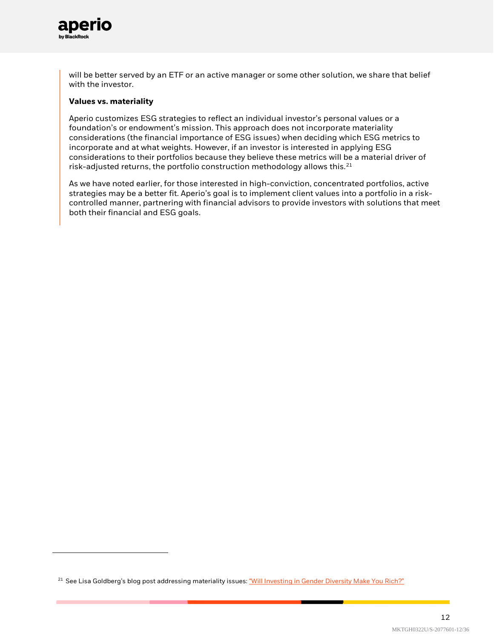

will be better served by an ETF or an active manager or some other solution, we share that belief with the investor.

#### **Values vs. materiality**

Aperio customizes ESG strategies to reflect an individual investor's personal values or a foundation's or endowment's mission. This approach does not incorporate materiality considerations (the financial importance of ESG issues) when deciding which ESG metrics to incorporate and at what weights. However, if an investor is interested in applying ESG considerations to their portfolios because they believe these metrics will be a material driver of risk-adjusted returns, the portfolio construction methodology allows this. $^{21}$  $^{21}$  $^{21}$ 

As we have noted earlier, for those interested in high-conviction, concentrated portfolios, active strategies may be a better fit. Aperio's goal is to implement client values into a portfolio in a riskcontrolled manner, partnering with financial advisors to provide investors with solutions that meet both their financial and ESG goals.

<span id="page-11-0"></span><sup>&</sup>lt;sup>21</sup> See Lisa Goldberg's blog post addressing materiality issues[: "Will Investing in Gender Diversity Make You Rich?"](https://www.aperiogroup.com/blogs/will-investing-in-gender-diversity-make-you-rich)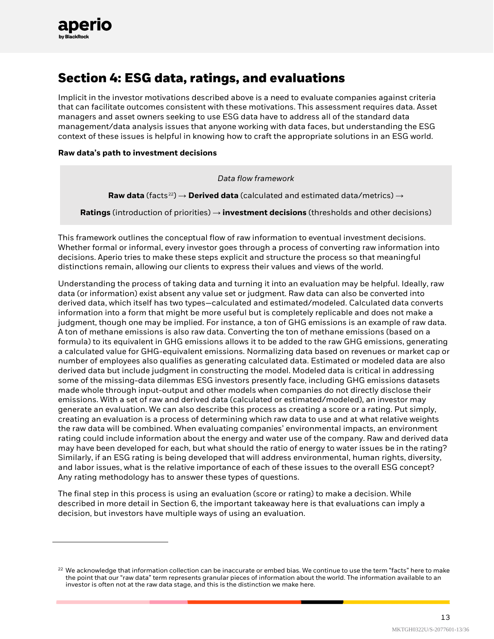

# **Section 4: ESG data, ratings, and evaluations**

Implicit in the investor motivations described above is a need to evaluate companies against criteria that can facilitate outcomes consistent with these motivations. This assessment requires data. Asset managers and asset owners seeking to use ESG data have to address all of the standard data management/data analysis issues that anyone working with data faces, but understanding the ESG context of these issues is helpful in knowing how to craft the appropriate solutions in an ESG world.

#### **Raw data's path to investment decisions**

*Data flow framework*

**Raw data** (facts<sup>[22](#page-12-0)</sup>) → **Derived data** (calculated and estimated data/metrics) →

**Ratings** (introduction of priorities) → **investment decisions** (thresholds and other decisions)

This framework outlines the conceptual flow of raw information to eventual investment decisions. Whether formal or informal, every investor goes through a process of converting raw information into decisions. Aperio tries to make these steps explicit and structure the process so that meaningful distinctions remain, allowing our clients to express their values and views of the world.

Understanding the process of taking data and turning it into an evaluation may be helpful. Ideally, raw data (or information) exist absent any value set or judgment. Raw data can also be converted into derived data, which itself has two types—calculated and estimated/modeled. Calculated data converts information into a form that might be more useful but is completely replicable and does not make a judgment, though one may be implied. For instance, a ton of GHG emissions is an example of raw data. A ton of methane emissions is also raw data. Converting the ton of methane emissions (based on a formula) to its equivalent in GHG emissions allows it to be added to the raw GHG emissions, generating a calculated value for GHG-equivalent emissions. Normalizing data based on revenues or market cap or number of employees also qualifies as generating calculated data. Estimated or modeled data are also derived data but include judgment in constructing the model. Modeled data is critical in addressing some of the missing-data dilemmas ESG investors presently face, including GHG emissions datasets made whole through input-output and other models when companies do not directly disclose their emissions. With a set of raw and derived data (calculated or estimated/modeled), an investor may generate an evaluation. We can also describe this process as creating a score or a rating. Put simply, creating an evaluation is a process of determining which raw data to use and at what relative weights the raw data will be combined. When evaluating companies' environmental impacts, an environment rating could include information about the energy and water use of the company. Raw and derived data may have been developed for each, but what should the ratio of energy to water issues be in the rating? Similarly, if an ESG rating is being developed that will address environmental, human rights, diversity, and labor issues, what is the relative importance of each of these issues to the overall ESG concept? Any rating methodology has to answer these types of questions.

The final step in this process is using an evaluation (score or rating) to make a decision. While described in more detail in Section 6, the important takeaway here is that evaluations can imply a decision, but investors have multiple ways of using an evaluation.

<span id="page-12-0"></span> $22$  We acknowledge that information collection can be inaccurate or embed bias. We continue to use the term "facts" here to make the point that our "raw data" term represents granular pieces of information about the world. The information available to an investor is often not at the raw data stage, and this is the distinction we make here.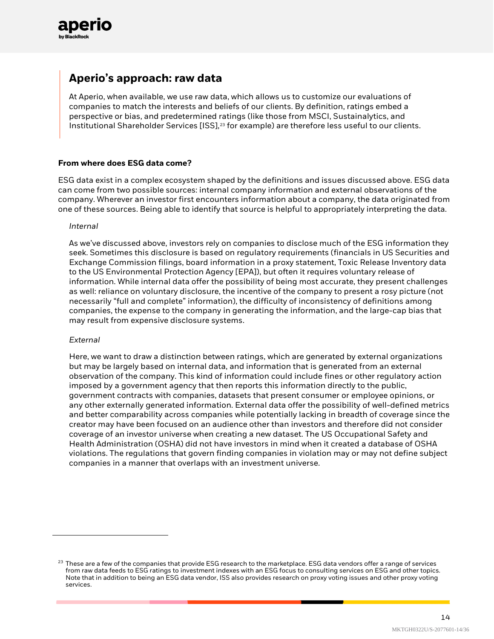

### **Aperio's approach: raw data**

At Aperio, when available, we use raw data, which allows us to customize our evaluations of companies to match the interests and beliefs of our clients. By definition, ratings embed a perspective or bias, and predetermined ratings (like those from MSCI, Sustainalytics, and Institutional Shareholder Services [ISS], [23](#page-13-0) for example) are therefore less useful to our clients.

#### **From where does ESG data come?**

ESG data exist in a complex ecosystem shaped by the definitions and issues discussed above. ESG data can come from two possible sources: internal company information and external observations of the company. Wherever an investor first encounters information about a company, the data originated from one of these sources. Being able to identify that source is helpful to appropriately interpreting the data.

#### *Internal*

As we've discussed above, investors rely on companies to disclose much of the ESG information they seek. Sometimes this disclosure is based on regulatory requirements (financials in US Securities and Exchange Commission filings, board information in a proxy statement, Toxic Release Inventory data to the US Environmental Protection Agency [EPA]), but often it requires voluntary release of information. While internal data offer the possibility of being most accurate, they present challenges as well: reliance on voluntary disclosure, the incentive of the company to present a rosy picture (not necessarily "full and complete" information), the difficulty of inconsistency of definitions among companies, the expense to the company in generating the information, and the large-cap bias that may result from expensive disclosure systems.

#### *External*

Here, we want to draw a distinction between ratings, which are generated by external organizations but may be largely based on internal data, and information that is generated from an external observation of the company. This kind of information could include fines or other regulatory action imposed by a government agency that then reports this information directly to the public, government contracts with companies, datasets that present consumer or employee opinions, or any other externally generated information. External data offer the possibility of well-defined metrics and better comparability across companies while potentially lacking in breadth of coverage since the creator may have been focused on an audience other than investors and therefore did not consider coverage of an investor universe when creating a new dataset. The US Occupational Safety and Health Administration (OSHA) did not have investors in mind when it created a database of OSHA violations. The regulations that govern finding companies in violation may or may not define subject companies in a manner that overlaps with an investment universe.

<span id="page-13-0"></span> $23$  These are a few of the companies that provide ESG research to the marketplace. ESG data vendors offer a range of services from raw data feeds to ESG ratings to investment indexes with an ESG focus to consulting services on ESG and other topics. Note that in addition to being an ESG data vendor, ISS also provides research on proxy voting issues and other proxy voting services.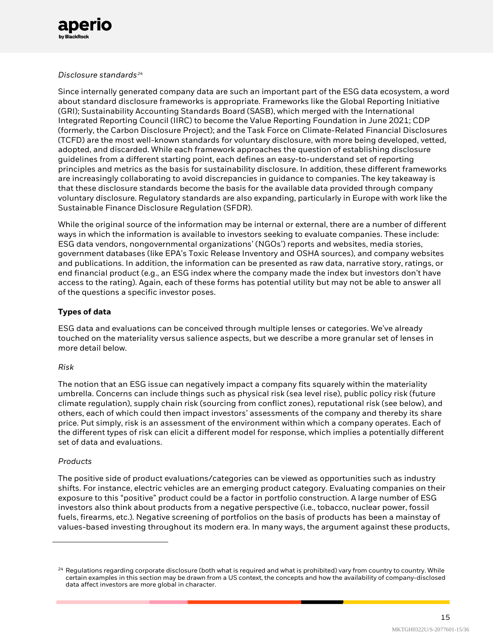

#### *Disclosure standards[24](#page-14-0)*

Since internally generated company data are such an important part of the ESG data ecosystem, a word about standard disclosure frameworks is appropriate. Frameworks like the Global Reporting Initiative (GRI); Sustainability Accounting Standards Board (SASB), which merged with the International Integrated Reporting Council (IIRC) to become the Value Reporting Foundation in June 2021; CDP (formerly, the Carbon Disclosure Project); and the Task Force on Climate-Related Financial Disclosures (TCFD) are the most well-known standards for voluntary disclosure, with more being developed, vetted, adopted, and discarded. While each framework approaches the question of establishing disclosure guidelines from a different starting point, each defines an easy-to-understand set of reporting principles and metrics as the basis for sustainability disclosure. In addition, these different frameworks are increasingly collaborating to avoid discrepancies in guidance to companies. The key takeaway is that these disclosure standards become the basis for the available data provided through company voluntary disclosure. Regulatory standards are also expanding, particularly in Europe with work like the Sustainable Finance Disclosure Regulation (SFDR).

While the original source of the information may be internal or external, there are a number of different ways in which the information is available to investors seeking to evaluate companies. These include: ESG data vendors, nongovernmental organizations' (NGOs') reports and websites, media stories, government databases (like EPA's Toxic Release Inventory and OSHA sources), and company websites and publications. In addition, the information can be presented as raw data, narrative story, ratings, or end financial product (e.g., an ESG index where the company made the index but investors don't have access to the rating). Again, each of these forms has potential utility but may not be able to answer all of the questions a specific investor poses.

#### **Types of data**

ESG data and evaluations can be conceived through multiple lenses or categories. We've already touched on the materiality versus salience aspects, but we describe a more granular set of lenses in more detail below.

#### *Risk*

The notion that an ESG issue can negatively impact a company fits squarely within the materiality umbrella. Concerns can include things such as physical risk (sea level rise), public policy risk (future climate regulation), supply chain risk (sourcing from conflict zones), reputational risk (see below), and others, each of which could then impact investors' assessments of the company and thereby its share price. Put simply, risk is an assessment of the environment within which a company operates. Each of the different types of risk can elicit a different model for response, which implies a potentially different set of data and evaluations.

#### *Products*

The positive side of product evaluations/categories can be viewed as opportunities such as industry shifts. For instance, electric vehicles are an emerging product category. Evaluating companies on their exposure to this "positive" product could be a factor in portfolio construction. A large number of ESG investors also think about products from a negative perspective (i.e., tobacco, nuclear power, fossil fuels, firearms, etc.). Negative screening of portfolios on the basis of products has been a mainstay of values-based investing throughout its modern era. In many ways, the argument against these products,

<span id="page-14-0"></span> $24$  Regulations regarding corporate disclosure (both what is required and what is prohibited) vary from country to country. While certain examples in this section may be drawn from a US context, the concepts and how the availability of company-disclosed data affect investors are more global in character.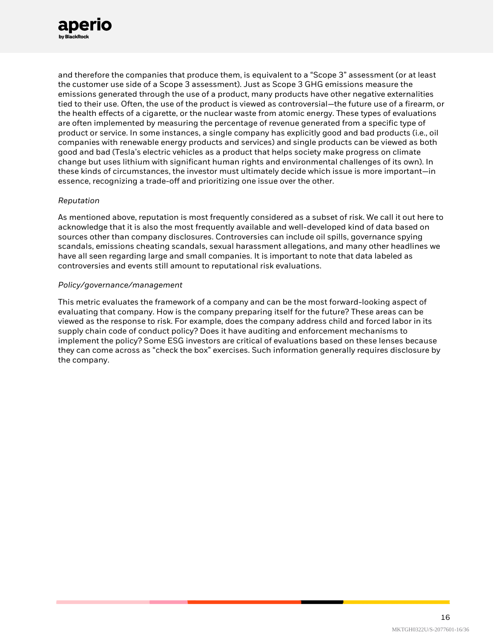

and therefore the companies that produce them, is equivalent to a "Scope 3" assessment (or at least the customer use side of a Scope 3 assessment). Just as Scope 3 GHG emissions measure the emissions generated through the use of a product, many products have other negative externalities tied to their use. Often, the use of the product is viewed as controversial—the future use of a firearm, or the health effects of a cigarette, or the nuclear waste from atomic energy. These types of evaluations are often implemented by measuring the percentage of revenue generated from a specific type of product or service. In some instances, a single company has explicitly good and bad products (i.e., oil companies with renewable energy products and services) and single products can be viewed as both good and bad (Tesla's electric vehicles as a product that helps society make progress on climate change but uses lithium with significant human rights and environmental challenges of its own). In these kinds of circumstances, the investor must ultimately decide which issue is more important—in essence, recognizing a trade-off and prioritizing one issue over the other.

#### *Reputation*

As mentioned above, reputation is most frequently considered as a subset of risk. We call it out here to acknowledge that it is also the most frequently available and well-developed kind of data based on sources other than company disclosures. Controversies can include oil spills, governance spying scandals, emissions cheating scandals, sexual harassment allegations, and many other headlines we have all seen regarding large and small companies. It is important to note that data labeled as controversies and events still amount to reputational risk evaluations.

#### *Policy/governance/management*

This metric evaluates the framework of a company and can be the most forward-looking aspect of evaluating that company. How is the company preparing itself for the future? These areas can be viewed as the response to risk. For example, does the company address child and forced labor in its supply chain code of conduct policy? Does it have auditing and enforcement mechanisms to implement the policy? Some ESG investors are critical of evaluations based on these lenses because they can come across as "check the box" exercises. Such information generally requires disclosure by the company.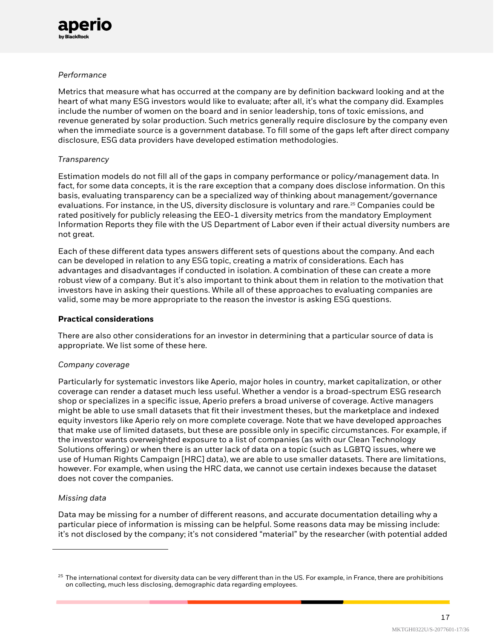

#### *Performance*

Metrics that measure what has occurred at the company are by definition backward looking and at the heart of what many ESG investors would like to evaluate; after all, it's what the company did. Examples include the number of women on the board and in senior leadership, tons of toxic emissions, and revenue generated by solar production. Such metrics generally require disclosure by the company even when the immediate source is a government database. To fill some of the gaps left after direct company disclosure, ESG data providers have developed estimation methodologies.

#### *Transparency*

Estimation models do not fill all of the gaps in company performance or policy/management data. In fact, for some data concepts, it is the rare exception that a company does disclose information. On this basis, evaluating transparency can be a specialized way of thinking about management/governance evaluations. For instance, in the US, diversity disclosure is voluntary and rare.<sup>[25](#page-16-0)</sup> Companies could be rated positively for publicly releasing the EEO-1 diversity metrics from the mandatory Employment Information Reports they file with the US Department of Labor even if their actual diversity numbers are not great.

Each of these different data types answers different sets of questions about the company. And each can be developed in relation to any ESG topic, creating a matrix of considerations. Each has advantages and disadvantages if conducted in isolation. A combination of these can create a more robust view of a company. But it's also important to think about them in relation to the motivation that investors have in asking their questions. While all of these approaches to evaluating companies are valid, some may be more appropriate to the reason the investor is asking ESG questions.

#### **Practical considerations**

There are also other considerations for an investor in determining that a particular source of data is appropriate. We list some of these here.

#### *Company coverage*

Particularly for systematic investors like Aperio, major holes in country, market capitalization, or other coverage can render a dataset much less useful. Whether a vendor is a broad-spectrum ESG research shop or specializes in a specific issue, Aperio prefers a broad universe of coverage. Active managers might be able to use small datasets that fit their investment theses, but the marketplace and indexed equity investors like Aperio rely on more complete coverage. Note that we have developed approaches that make use of limited datasets, but these are possible only in specific circumstances. For example, if the investor wants overweighted exposure to a list of companies (as with our Clean Technology Solutions offering) or when there is an utter lack of data on a topic (such as LGBTQ issues, where we use of Human Rights Campaign [HRC] data), we are able to use smaller datasets. There are limitations, however. For example, when using the HRC data, we cannot use certain indexes because the dataset does not cover the companies.

#### *Missing data*

Data may be missing for a number of different reasons, and accurate documentation detailing why a particular piece of information is missing can be helpful. Some reasons data may be missing include: it's not disclosed by the company; it's not considered "material" by the researcher (with potential added

<span id="page-16-0"></span> $25$  The international context for diversity data can be very different than in the US. For example, in France, there are prohibitions on collecting, much less disclosing, demographic data regarding employees.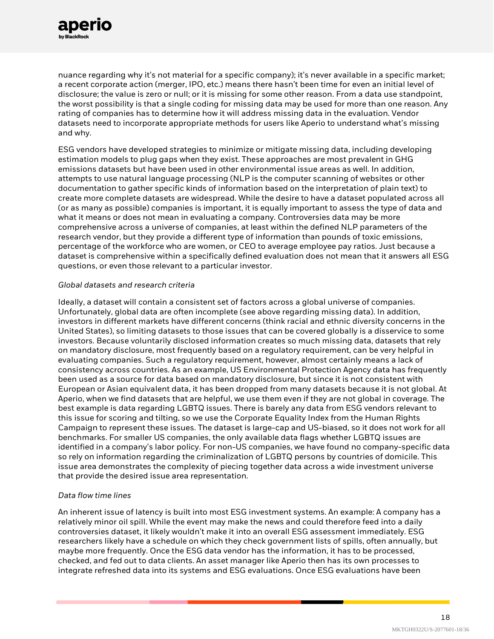nuance regarding why it's not material for a specific company); it's never available in a specific market; a recent corporate action (merger, IPO, etc.) means there hasn't been time for even an initial level of disclosure; the value is zero or null; or it is missing for some other reason. From a data use standpoint, the worst possibility is that a single coding for missing data may be used for more than one reason. Any rating of companies has to determine how it will address missing data in the evaluation. Vendor datasets need to incorporate appropriate methods for users like Aperio to understand what's missing and why.

ESG vendors have developed strategies to minimize or mitigate missing data, including developing estimation models to plug gaps when they exist. These approaches are most prevalent in GHG emissions datasets but have been used in other environmental issue areas as well. In addition, attempts to use natural language processing (NLP is the computer scanning of websites or other documentation to gather specific kinds of information based on the interpretation of plain text) to create more complete datasets are widespread. While the desire to have a dataset populated across all (or as many as possible) companies is important, it is equally important to assess the type of data and what it means or does not mean in evaluating a company. Controversies data may be more comprehensive across a universe of companies, at least within the defined NLP parameters of the research vendor, but they provide a different type of information than pounds of toxic emissions, percentage of the workforce who are women, or CEO to average employee pay ratios. Just because a dataset is comprehensive within a specifically defined evaluation does not mean that it answers all ESG questions, or even those relevant to a particular investor.

#### *Global datasets and research criteria*

Ideally, a dataset will contain a consistent set of factors across a global universe of companies. Unfortunately, global data are often incomplete (see above regarding missing data). In addition, investors in different markets have different concerns (think racial and ethnic diversity concerns in the United States), so limiting datasets to those issues that can be covered globally is a disservice to some investors. Because voluntarily disclosed information creates so much missing data, datasets that rely on mandatory disclosure, most frequently based on a regulatory requirement, can be very helpful in evaluating companies. Such a regulatory requirement, however, almost certainly means a lack of consistency across countries. As an example, US Environmental Protection Agency data has frequently been used as a source for data based on mandatory disclosure, but since it is not consistent with European or Asian equivalent data, it has been dropped from many datasets because it is not global. At Aperio, when we find datasets that are helpful, we use them even if they are not global in coverage. The best example is data regarding LGBTQ issues. There is barely any data from ESG vendors relevant to this issue for scoring and tilting, so we use the Corporate Equality Index from the Human Rights Campaign to represent these issues. The dataset is large-cap and US-biased, so it does not work for all benchmarks. For smaller US companies, the only available data flags whether LGBTQ issues are identified in a company's labor policy. For non-US companies, we have found no company-specific data so rely on information regarding the criminalization of LGBTQ persons by countries of domicile. This issue area demonstrates the complexity of piecing together data across a wide investment universe that provide the desired issue area representation.

#### *Data flow time lines*

An inherent issue of latency is built into most ESG investment systems. An example: A company has a relatively minor oil spill. While the event may make the news and could therefore feed into a daily controversies dataset, it likely wouldn't make it into an overall ESG assessment immediately. ESG researchers likely have a schedule on which they check government lists of spills, often annually, but maybe more frequently. Once the ESG data vendor has the information, it has to be processed, checked, and fed out to data clients. An asset manager like Aperio then has its own processes to integrate refreshed data into its systems and ESG evaluations. Once ESG evaluations have been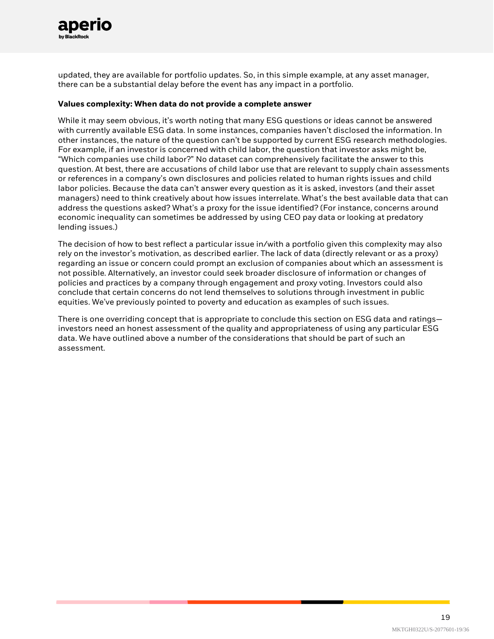

updated, they are available for portfolio updates. So, in this simple example, at any asset manager, there can be a substantial delay before the event has any impact in a portfolio.

#### **Values complexity: When data do not provide a complete answer**

While it may seem obvious, it's worth noting that many ESG questions or ideas cannot be answered with currently available ESG data. In some instances, companies haven't disclosed the information. In other instances, the nature of the question can't be supported by current ESG research methodologies. For example, if an investor is concerned with child labor, the question that investor asks might be, "Which companies use child labor?" No dataset can comprehensively facilitate the answer to this question. At best, there are accusations of child labor use that are relevant to supply chain assessments or references in a company's own disclosures and policies related to human rights issues and child labor policies. Because the data can't answer every question as it is asked, investors (and their asset managers) need to think creatively about how issues interrelate. What's the best available data that can address the questions asked? What's a proxy for the issue identified? (For instance, concerns around economic inequality can sometimes be addressed by using CEO pay data or looking at predatory lending issues.)

The decision of how to best reflect a particular issue in/with a portfolio given this complexity may also rely on the investor's motivation, as described earlier. The lack of data (directly relevant or as a proxy) regarding an issue or concern could prompt an exclusion of companies about which an assessment is not possible. Alternatively, an investor could seek broader disclosure of information or changes of policies and practices by a company through engagement and proxy voting. Investors could also conclude that certain concerns do not lend themselves to solutions through investment in public equities. We've previously pointed to poverty and education as examples of such issues.

There is one overriding concept that is appropriate to conclude this section on ESG data and ratings investors need an honest assessment of the quality and appropriateness of using any particular ESG data. We have outlined above a number of the considerations that should be part of such an assessment.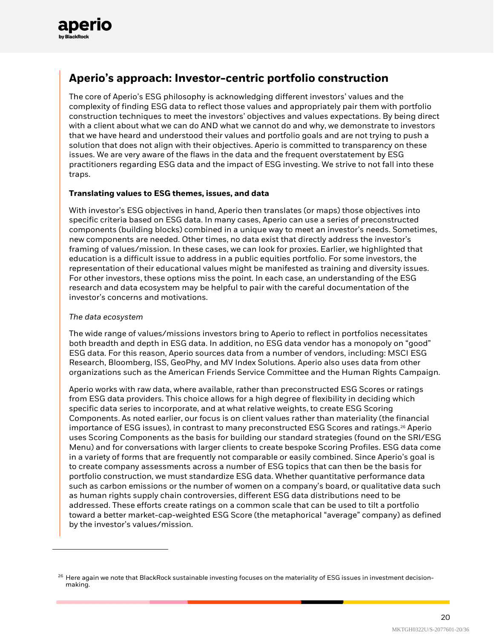

### **Aperio's approach: Investor-centric portfolio construction**

The core of Aperio's ESG philosophy is acknowledging different investors' values and the complexity of finding ESG data to reflect those values and appropriately pair them with portfolio construction techniques to meet the investors' objectives and values expectations. By being direct with a client about what we can do AND what we cannot do and why, we demonstrate to investors that we have heard and understood their values and portfolio goals and are not trying to push a solution that does not align with their objectives. Aperio is committed to transparency on these issues. We are very aware of the flaws in the data and the frequent overstatement by ESG practitioners regarding ESG data and the impact of ESG investing. We strive to not fall into these traps.

#### **Translating values to ESG themes, issues, and data**

With investor's ESG objectives in hand, Aperio then translates (or maps) those objectives into specific criteria based on ESG data. In many cases, Aperio can use a series of preconstructed components (building blocks) combined in a unique way to meet an investor's needs. Sometimes, new components are needed. Other times, no data exist that directly address the investor's framing of values/mission. In these cases, we can look for proxies. Earlier, we highlighted that education is a difficult issue to address in a public equities portfolio. For some investors, the representation of their educational values might be manifested as training and diversity issues. For other investors, these options miss the point. In each case, an understanding of the ESG research and data ecosystem may be helpful to pair with the careful documentation of the investor's concerns and motivations.

#### *The data ecosystem*

The wide range of values/missions investors bring to Aperio to reflect in portfolios necessitates both breadth and depth in ESG data. In addition, no ESG data vendor has a monopoly on "good" ESG data. For this reason, Aperio sources data from a number of vendors, including: MSCI ESG Research, Bloomberg, ISS, GeoPhy, and MV Index Solutions. Aperio also uses data from other organizations such as the American Friends Service Committee and the Human Rights Campaign.

Aperio works with raw data, where available, rather than preconstructed ESG Scores or ratings from ESG data providers. This choice allows for a high degree of flexibility in deciding which specific data series to incorporate, and at what relative weights, to create ESG Scoring Components. As noted earlier, our focus is on client values rather than materiality (the financial importance of ESG issues), in contrast to many preconstructed ESG Scores and ratings.<sup>[26](#page-19-0)</sup> Aperio uses Scoring Components as the basis for building our standard strategies (found on the SRI/ESG Menu) and for conversations with larger clients to create bespoke Scoring Profiles. ESG data come in a variety of forms that are frequently not comparable or easily combined. Since Aperio's goal is to create company assessments across a number of ESG topics that can then be the basis for portfolio construction, we must standardize ESG data. Whether quantitative performance data such as carbon emissions or the number of women on a company's board, or qualitative data such as human rights supply chain controversies, different ESG data distributions need to be addressed. These efforts create ratings on a common scale that can be used to tilt a portfolio toward a better market-cap-weighted ESG Score (the metaphorical "average" company) as defined by the investor's values/mission.

<span id="page-19-0"></span> $^{26}$  Here again we note that BlackRock sustainable investing focuses on the materiality of ESG issues in investment decisionmaking.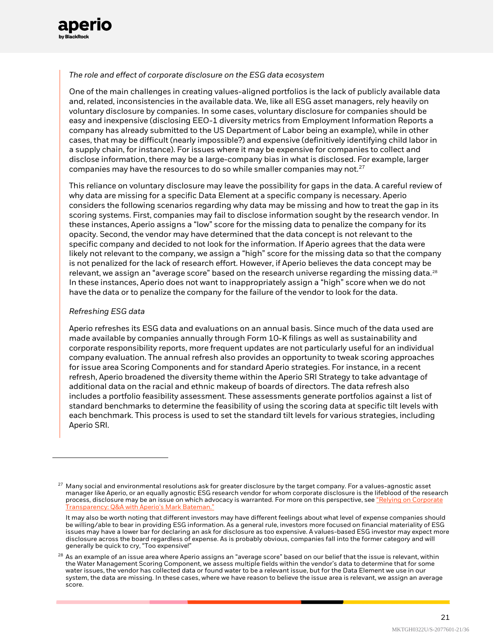

#### *The role and effect of corporate disclosure on the ESG data ecosystem*

One of the main challenges in creating values-aligned portfolios is the lack of publicly available data and, related, inconsistencies in the available data. We, like all ESG asset managers, rely heavily on voluntary disclosure by companies. In some cases, voluntary disclosure for companies should be easy and inexpensive (disclosing EEO-1 diversity metrics from Employment Information Reports a company has already submitted to the US Department of Labor being an example), while in other cases, that may be difficult (nearly impossible?) and expensive (definitively identifying child labor in a supply chain, for instance). For issues where it may be expensive for companies to collect and disclose information, there may be a large-company bias in what is disclosed. For example, larger companies may have the resources to do so while smaller companies may not. $27$ 

This reliance on voluntary disclosure may leave the possibility for gaps in the data. A careful review of why data are missing for a specific Data Element at a specific company is necessary. Aperio considers the following scenarios regarding why data may be missing and how to treat the gap in its scoring systems. First, companies may fail to disclose information sought by the research vendor. In these instances, Aperio assigns a "low" score for the missing data to penalize the company for its opacity. Second, the vendor may have determined that the data concept is not relevant to the specific company and decided to not look for the information. If Aperio agrees that the data were likely not relevant to the company, we assign a "high" score for the missing data so that the company is not penalized for the lack of research effort. However, if Aperio believes the data concept may be relevant, we assign an "average score" based on the research universe regarding the missing data.<sup>[28](#page-20-1)</sup> In these instances, Aperio does not want to inappropriately assign a "high" score when we do not have the data or to penalize the company for the failure of the vendor to look for the data.

#### *Refreshing ESG data*

Aperio refreshes its ESG data and evaluations on an annual basis. Since much of the data used are made available by companies annually through Form 10-K filings as well as sustainability and corporate responsibility reports, more frequent updates are not particularly useful for an individual company evaluation. The annual refresh also provides an opportunity to tweak scoring approaches for issue area Scoring Components and for standard Aperio strategies. For instance, in a recent refresh, Aperio broadened the diversity theme within the Aperio SRI Strategy to take advantage of additional data on the racial and ethnic makeup of boards of directors. The data refresh also includes a portfolio feasibility assessment. These assessments generate portfolios against a list of standard benchmarks to determine the feasibility of using the scoring data at specific tilt levels with each benchmark. This process is used to set the standard tilt levels for various strategies, including Aperio SRI.

<span id="page-20-0"></span> $27$  Many social and environmental resolutions ask for greater disclosure by the target company. For a values-agnostic asset manager like Aperio, or an equally agnostic ESG research vendor for whom corporate disclosure is the lifeblood of the research process, disclosure may be an issue on which advocacy is warranted. For more on this perspective, see "Relying on Corporate [Transparency: Q&A with Aperio's Mark Bateman."](https://www.aperiogroup.com/blogs/relying-on-corporate-transparency-qanda-with-aperios-mark-bateman)

It may also be worth noting that different investors may have different feelings about what level of expense companies should be willing/able to bear in providing ESG information. As a general rule, investors more focused on financial materiality of ESG issues may have a lower bar for declaring an ask for disclosure as too expensive. A values-based ESG investor may expect more disclosure across the board regardless of expense. As is probably obvious, companies fall into the former category and will generally be quick to cry, "Too expensive!"

<span id="page-20-1"></span> $^{28}$  As an example of an issue area where Aperio assigns an "average score" based on our belief that the issue is relevant, within the Water Management Scoring Component, we assess multiple fields within the vendor's data to determine that for some water issues, the vendor has collected data or found water to be a relevant issue, but for the Data Element we use in our system, the data are missing. In these cases, where we have reason to believe the issue area is relevant, we assign an average score.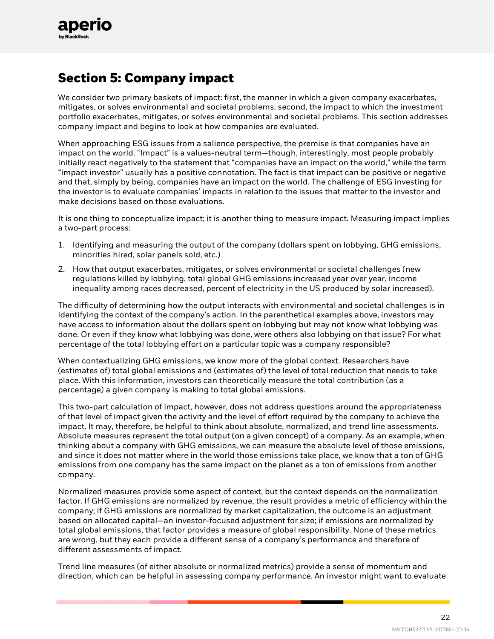

# **Section 5: Company impact**

We consider two primary baskets of impact: first, the manner in which a given company exacerbates, mitigates, or solves environmental and societal problems; second, the impact to which the investment portfolio exacerbates, mitigates, or solves environmental and societal problems. This section addresses company impact and begins to look at how companies are evaluated.

When approaching ESG issues from a salience perspective, the premise is that companies have an impact on the world. "Impact" is a values-neutral term—though, interestingly, most people probably initially react negatively to the statement that "companies have an impact on the world," while the term "impact investor" usually has a positive connotation. The fact is that impact can be positive or negative and that, simply by being, companies have an impact on the world. The challenge of ESG investing for the investor is to evaluate companies' impacts in relation to the issues that matter to the investor and make decisions based on those evaluations.

It is one thing to conceptualize impact; it is another thing to measure impact. Measuring impact implies a two-part process:

- 1. Identifying and measuring the output of the company (dollars spent on lobbying, GHG emissions, minorities hired, solar panels sold, etc.)
- 2. How that output exacerbates, mitigates, or solves environmental or societal challenges (new regulations killed by lobbying, total global GHG emissions increased year over year, income inequality among races decreased, percent of electricity in the US produced by solar increased).

The difficulty of determining how the output interacts with environmental and societal challenges is in identifying the context of the company's action. In the parenthetical examples above, investors may have access to information about the dollars spent on lobbying but may not know what lobbying was done. Or even if they know what lobbying was done, were others also lobbying on that issue? For what percentage of the total lobbying effort on a particular topic was a company responsible?

When contextualizing GHG emissions, we know more of the global context. Researchers have (estimates of) total global emissions and (estimates of) the level of total reduction that needs to take place. With this information, investors can theoretically measure the total contribution (as a percentage) a given company is making to total global emissions.

This two-part calculation of impact, however, does not address questions around the appropriateness of that level of impact given the activity and the level of effort required by the company to achieve the impact. It may, therefore, be helpful to think about absolute, normalized, and trend line assessments. Absolute measures represent the total output (on a given concept) of a company. As an example, when thinking about a company with GHG emissions, we can measure the absolute level of those emissions, and since it does not matter where in the world those emissions take place, we know that a ton of GHG emissions from one company has the same impact on the planet as a ton of emissions from another company.

Normalized measures provide some aspect of context, but the context depends on the normalization factor. If GHG emissions are normalized by revenue, the result provides a metric of efficiency within the company; if GHG emissions are normalized by market capitalization, the outcome is an adjustment based on allocated capital—an investor-focused adjustment for size; if emissions are normalized by total global emissions, that factor provides a measure of global responsibility. None of these metrics are wrong, but they each provide a different sense of a company's performance and therefore of different assessments of impact.

Trend line measures (of either absolute or normalized metrics) provide a sense of momentum and direction, which can be helpful in assessing company performance. An investor might want to evaluate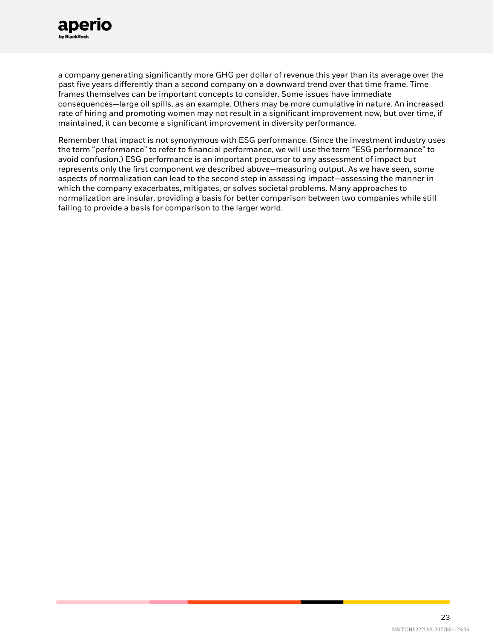

a company generating significantly more GHG per dollar of revenue this year than its average over the past five years differently than a second company on a downward trend over that time frame. Time frames themselves can be important concepts to consider. Some issues have immediate consequences—large oil spills, as an example. Others may be more cumulative in nature. An increased rate of hiring and promoting women may not result in a significant improvement now, but over time, if maintained, it can become a significant improvement in diversity performance.

Remember that impact is not synonymous with ESG performance. (Since the investment industry uses the term "performance" to refer to financial performance, we will use the term "ESG performance" to avoid confusion.) ESG performance is an important precursor to any assessment of impact but represents only the first component we described above—measuring output. As we have seen, some aspects of normalization can lead to the second step in assessing impact—assessing the manner in which the company exacerbates, mitigates, or solves societal problems. Many approaches to normalization are insular, providing a basis for better comparison between two companies while still failing to provide a basis for comparison to the larger world.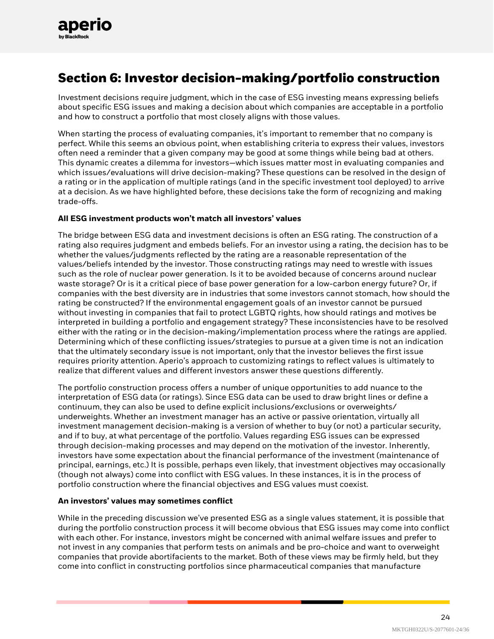# **Section 6: Investor decision-making/portfolio construction**

Investment decisions require judgment, which in the case of ESG investing means expressing beliefs about specific ESG issues and making a decision about which companies are acceptable in a portfolio and how to construct a portfolio that most closely aligns with those values.

When starting the process of evaluating companies, it's important to remember that no company is perfect. While this seems an obvious point, when establishing criteria to express their values, investors often need a reminder that a given company may be good at some things while being bad at others. This dynamic creates a dilemma for investors—which issues matter most in evaluating companies and which issues/evaluations will drive decision-making? These questions can be resolved in the design of a rating or in the application of multiple ratings (and in the specific investment tool deployed) to arrive at a decision. As we have highlighted before, these decisions take the form of recognizing and making trade-offs.

#### **All ESG investment products won't match all investors' values**

The bridge between ESG data and investment decisions is often an ESG rating. The construction of a rating also requires judgment and embeds beliefs. For an investor using a rating, the decision has to be whether the values/judgments reflected by the rating are a reasonable representation of the values/beliefs intended by the investor. Those constructing ratings may need to wrestle with issues such as the role of nuclear power generation. Is it to be avoided because of concerns around nuclear waste storage? Or is it a critical piece of base power generation for a low-carbon energy future? Or, if companies with the best diversity are in industries that some investors cannot stomach, how should the rating be constructed? If the environmental engagement goals of an investor cannot be pursued without investing in companies that fail to protect LGBTQ rights, how should ratings and motives be interpreted in building a portfolio and engagement strategy? These inconsistencies have to be resolved either with the rating or in the decision-making/implementation process where the ratings are applied. Determining which of these conflicting issues/strategies to pursue at a given time is not an indication that the ultimately secondary issue is not important, only that the investor believes the first issue requires priority attention. Aperio's approach to customizing ratings to reflect values is ultimately to realize that different values and different investors answer these questions differently.

The portfolio construction process offers a number of unique opportunities to add nuance to the interpretation of ESG data (or ratings). Since ESG data can be used to draw bright lines or define a continuum, they can also be used to define explicit inclusions/exclusions or overweights/ underweights. Whether an investment manager has an active or passive orientation, virtually all investment management decision-making is a version of whether to buy (or not) a particular security, and if to buy, at what percentage of the portfolio. Values regarding ESG issues can be expressed through decision-making processes and may depend on the motivation of the investor. Inherently, investors have some expectation about the financial performance of the investment (maintenance of principal, earnings, etc.) It is possible, perhaps even likely, that investment objectives may occasionally (though not always) come into conflict with ESG values. In these instances, it is in the process of portfolio construction where the financial objectives and ESG values must coexist.

#### **An investors' values may sometimes conflict**

While in the preceding discussion we've presented ESG as a single values statement, it is possible that during the portfolio construction process it will become obvious that ESG issues may come into conflict with each other. For instance, investors might be concerned with animal welfare issues and prefer to not invest in any companies that perform tests on animals and be pro-choice and want to overweight companies that provide abortifacients to the market. Both of these views may be firmly held, but they come into conflict in constructing portfolios since pharmaceutical companies that manufacture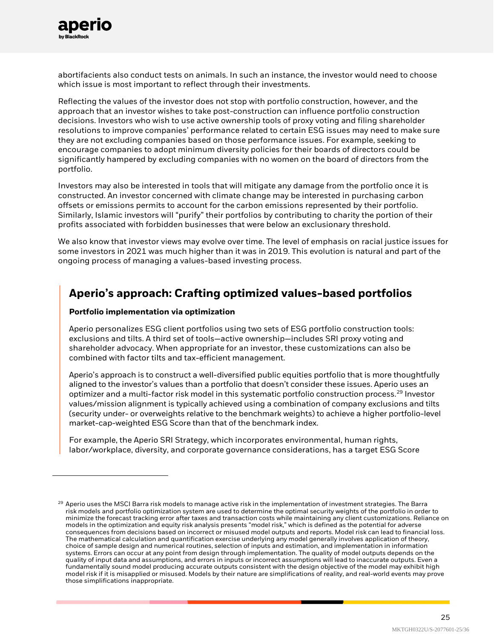

abortifacients also conduct tests on animals. In such an instance, the investor would need to choose which issue is most important to reflect through their investments.

Reflecting the values of the investor does not stop with portfolio construction, however, and the approach that an investor wishes to take post-construction can influence portfolio construction decisions. Investors who wish to use active ownership tools of proxy voting and filing shareholder resolutions to improve companies' performance related to certain ESG issues may need to make sure they are not excluding companies based on those performance issues. For example, seeking to encourage companies to adopt minimum diversity policies for their boards of directors could be significantly hampered by excluding companies with no women on the board of directors from the portfolio.

Investors may also be interested in tools that will mitigate any damage from the portfolio once it is constructed. An investor concerned with climate change may be interested in purchasing carbon offsets or emissions permits to account for the carbon emissions represented by their portfolio. Similarly, Islamic investors will "purify" their portfolios by contributing to charity the portion of their profits associated with forbidden businesses that were below an exclusionary threshold.

We also know that investor views may evolve over time. The level of emphasis on racial justice issues for some investors in 2021 was much higher than it was in 2019. This evolution is natural and part of the ongoing process of managing a values-based investing process.

### **Aperio's approach: Crafting optimized values-based portfolios**

#### **Portfolio implementation via optimization**

Aperio personalizes ESG client portfolios using two sets of ESG portfolio construction tools: exclusions and tilts. A third set of tools—active ownership—includes SRI proxy voting and shareholder advocacy. When appropriate for an investor, these customizations can also be combined with factor tilts and tax-efficient management.

Aperio's approach is to construct a well-diversified public equities portfolio that is more thoughtfully aligned to the investor's values than a portfolio that doesn't consider these issues. Aperio uses an optimizer and a multi-factor risk model in this systematic portfolio construction process.<sup>[29](#page-24-0)</sup> Investor values/mission alignment is typically achieved using a combination of company exclusions and tilts (security under- or overweights relative to the benchmark weights) to achieve a higher portfolio-level market-cap-weighted ESG Score than that of the benchmark index.

For example, the Aperio SRI Strategy, which incorporates environmental, human rights, labor/workplace, diversity, and corporate governance considerations, has a target ESG Score

<span id="page-24-0"></span><sup>&</sup>lt;sup>29</sup> Aperio uses the MSCI Barra risk models to manage active risk in the implementation of investment strategies. The Barra risk models and portfolio optimization system are used to determine the optimal security weights of the portfolio in order to minimize the forecast tracking error after taxes and transaction costs while maintaining any client customizations. Reliance on models in the optimization and equity risk analysis presents "model risk," which is defined as the potential for adverse consequences from decisions based on incorrect or misused model outputs and reports. Model risk can lead to financial loss. The mathematical calculation and quantification exercise underlying any model generally involves application of theory, choice of sample design and numerical routines, selection of inputs and estimation, and implementation in information systems. Errors can occur at any point from design through implementation. The quality of model outputs depends on the quality of input data and assumptions, and errors in inputs or incorrect assumptions will lead to inaccurate outputs. Even a fundamentally sound model producing accurate outputs consistent with the design objective of the model may exhibit high model risk if it is misapplied or misused. Models by their nature are simplifications of reality, and real-world events may prove those simplifications inappropriate.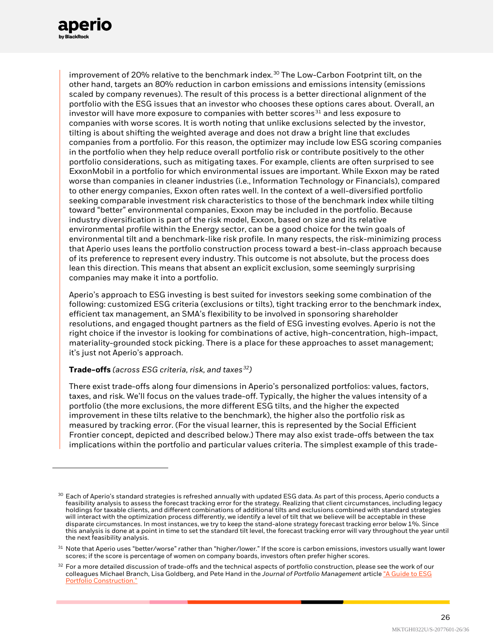

improvement of 20% relative to the benchmark index. [30](#page-25-0) The Low-Carbon Footprint tilt, on the other hand, targets an 80% reduction in carbon emissions and emissions intensity (emissions scaled by company revenues). The result of this process is a better directional alignment of the portfolio with the ESG issues that an investor who chooses these options cares about. Overall, an investor will have more exposure to companies with better scores $31$  and less exposure to companies with worse scores. It is worth noting that unlike exclusions selected by the investor, tilting is about shifting the weighted average and does not draw a bright line that excludes companies from a portfolio. For this reason, the optimizer may include low ESG scoring companies in the portfolio when they help reduce overall portfolio risk or contribute positively to the other portfolio considerations, such as mitigating taxes. For example, clients are often surprised to see ExxonMobil in a portfolio for which environmental issues are important. While Exxon may be rated worse than companies in cleaner industries (i.e., Information Technology or Financials), compared to other energy companies, Exxon often rates well. In the context of a well-diversified portfolio seeking comparable investment risk characteristics to those of the benchmark index while tilting toward "better" environmental companies, Exxon may be included in the portfolio. Because industry diversification is part of the risk model, Exxon, based on size and its relative environmental profile within the Energy sector, can be a good choice for the twin goals of environmental tilt and a benchmark-like risk profile. In many respects, the risk-minimizing process that Aperio uses leans the portfolio construction process toward a best-in-class approach because of its preference to represent every industry. This outcome is not absolute, but the process does lean this direction. This means that absent an explicit exclusion, some seemingly surprising companies may make it into a portfolio.

Aperio's approach to ESG investing is best suited for investors seeking some combination of the following: customized ESG criteria (exclusions or tilts), tight tracking error to the benchmark index, efficient tax management, an SMA's flexibility to be involved in sponsoring shareholder resolutions, and engaged thought partners as the field of ESG investing evolves. Aperio is not the right choice if the investor is looking for combinations of active, high-concentration, high-impact, materiality-grounded stock picking. There is a place for these approaches to asset management; it's just not Aperio's approach.

#### **Trade-offs** *(across ESG criteria, risk, and taxes[32](#page-25-2))*

There exist trade-offs along four dimensions in Aperio's personalized portfolios: values, factors, taxes, and risk. We'll focus on the values trade-off. Typically, the higher the values intensity of a portfolio (the more exclusions, the more different ESG tilts, and the higher the expected improvement in these tilts relative to the benchmark), the higher also the portfolio risk as measured by tracking error. (For the visual learner, this is represented by the Social Efficient Frontier concept, depicted and described below.) There may also exist trade-offs between the tax implications within the portfolio and particular values criteria. The simplest example of this trade-

<span id="page-25-0"></span> $^{30}$  Each of Aperio's standard strategies is refreshed annually with updated ESG data. As part of this process, Aperio conducts a feasibility analysis to assess the forecast tracking error for the strategy. Realizing that client circumstances, including legacy holdings for taxable clients, and different combinations of additional tilts and exclusions combined with standard strategies will interact with the optimization process differently, we identify a level of tilt that we believe will be acceptable in these disparate circumstances. In most instances, we try to keep the stand-alone strategy forecast tracking error below 1%. Since this analysis is done at a point in time to set the standard tilt level, the forecast tracking error will vary throughout the year until the next feasibility analysis.

<span id="page-25-1"></span><sup>&</sup>lt;sup>31</sup> Note that Aperio uses "better/worse" rather than "higher/lower." If the score is carbon emissions, investors usually want lower scores; if the score is percentage of women on company boards, investors often prefer higher scores.

<span id="page-25-2"></span> $32$  For a more detailed discussion of trade-offs and the technical aspects of portfolio construction, please see the work of our colleagues Michael Branch, Lisa Goldberg, and Pete Hand in the *Journal of Portfolio Management* articl[e "A Guide to ESG](https://jpm.pm-research.com/content/45/4/61/tab-article-info)  [Portfolio Construction."](https://jpm.pm-research.com/content/45/4/61/tab-article-info)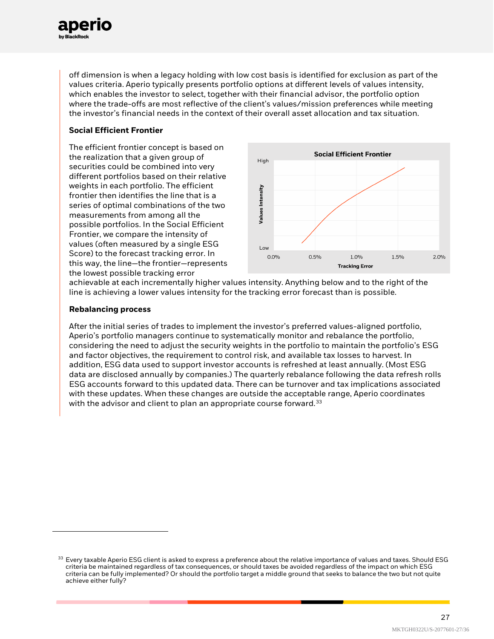

off dimension is when a legacy holding with low cost basis is identified for exclusion as part of the values criteria. Aperio typically presents portfolio options at different levels of values intensity, which enables the investor to select, together with their financial advisor, the portfolio option where the trade-offs are most reflective of the client's values/mission preferences while meeting the investor's financial needs in the context of their overall asset allocation and tax situation.

#### **Social Efficient Frontier**

The efficient frontier concept is based on the realization that a given group of securities could be combined into very different portfolios based on their relative weights in each portfolio. The efficient frontier then identifies the line that is a series of optimal combinations of the two measurements from among all the possible portfolios. In the Social Efficient Frontier, we compare the intensity of values (often measured by a single ESG Score) to the forecast tracking error. In this way, the line—the frontier—represents the lowest possible tracking error



achievable at each incrementally higher values intensity. Anything below and to the right of the line is achieving a lower values intensity for the tracking error forecast than is possible.

#### **Rebalancing process**

After the initial series of trades to implement the investor's preferred values-aligned portfolio, Aperio's portfolio managers continue to systematically monitor and rebalance the portfolio, considering the need to adjust the security weights in the portfolio to maintain the portfolio's ESG and factor objectives, the requirement to control risk, and available tax losses to harvest. In addition, ESG data used to support investor accounts is refreshed at least annually. (Most ESG data are disclosed annually by companies.) The quarterly rebalance following the data refresh rolls ESG accounts forward to this updated data. There can be turnover and tax implications associated with these updates. When these changes are outside the acceptable range, Aperio coordinates with the advisor and client to plan an appropriate course forward.<sup>[33](#page-26-0)</sup>

<span id="page-26-0"></span> $33$  Every taxable Aperio ESG client is asked to express a preference about the relative importance of values and taxes. Should ESG criteria be maintained regardless of tax consequences, or should taxes be avoided regardless of the impact on which ESG criteria can be fully implemented? Or should the portfolio target a middle ground that seeks to balance the two but not quite achieve either fully?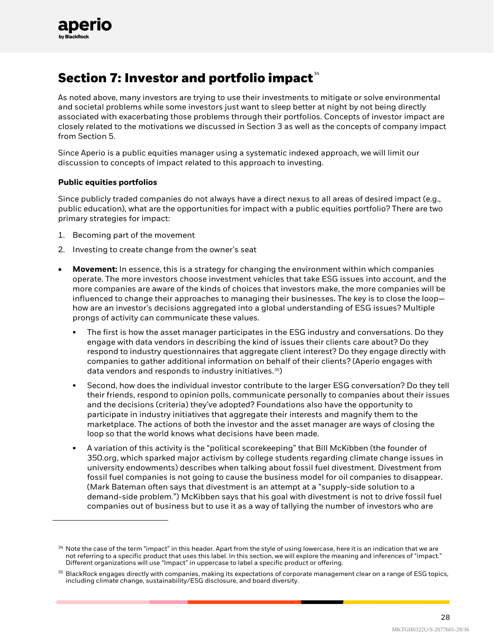

# **Section 7: Investor and portfolio impact**<sup>[34](#page-27-0)</sup>

As noted above, many investors are trying to use their investments to mitigate or solve environmental and societal problems while some investors just want to sleep better at night by not being directly associated with exacerbating those problems through their portfolios. Concepts of investor impact are closely related to the motivations we discussed in Section 3 as well as the concepts of company impact from Section 5.

Since Aperio is a public equities manager using a systematic indexed approach, we will limit our discussion to concepts of impact related to this approach to investing.

#### **Public equities portfolios**

Since publicly traded companies do not always have a direct nexus to all areas of desired impact (e.g., public education), what are the opportunities for impact with a public equities portfolio? There are two primary strategies for impact:

- 1. Becoming part of the movement
- 2. Investing to create change from the owner's seat
- **Movement:** In essence, this is a strategy for changing the environment within which companies operate. The more investors choose investment vehicles that take ESG issues into account, and the more companies are aware of the kinds of choices that investors make, the more companies will be influenced to change their approaches to managing their businesses. The key is to close the loop how are an investor's decisions aggregated into a global understanding of ESG issues? Multiple prongs of activity can communicate these values.
	- The first is how the asset manager participates in the ESG industry and conversations. Do they engage with data vendors in describing the kind of issues their clients care about? Do they respond to industry questionnaires that aggregate client interest? Do they engage directly with companies to gather additional information on behalf of their clients? (Aperio engages with data vendors and responds to industry initiatives.[35](#page-27-1))
	- Second, how does the individual investor contribute to the larger ESG conversation? Do they tell their friends, respond to opinion polls, communicate personally to companies about their issues and the decisions (criteria) they've adopted? Foundations also have the opportunity to participate in industry initiatives that aggregate their interests and magnify them to the marketplace. The actions of both the investor and the asset manager are ways of closing the loop so that the world knows what decisions have been made.
	- A variation of this activity is the "political scorekeeping" that Bill McKibben (the founder of 350.org, which sparked major activism by college students regarding climate change issues in university endowments) describes when talking about fossil fuel divestment. Divestment from fossil fuel companies is not going to cause the business model for oil companies to disappear. (Mark Bateman often says that divestment is an attempt at a "supply-side solution to a demand-side problem.") McKibben says that his goal with divestment is not to drive fossil fuel companies out of business but to use it as a way of tallying the number of investors who are

<span id="page-27-0"></span> $34$  Note the case of the term "impact" in this header. Apart from the style of using lowercase, here it is an indication that we are not referring to a specific product that uses this label. In this section, we will explore the meaning and inferences of "impact." Different organizations will use "Impact" in uppercase to label a specific product or offering.

<span id="page-27-1"></span> $35$  BlackRock engages directly with companies, making its expectations of corporate management clear on a range of ESG topics, including climate change, sustainability/ESG disclosure, and board diversity.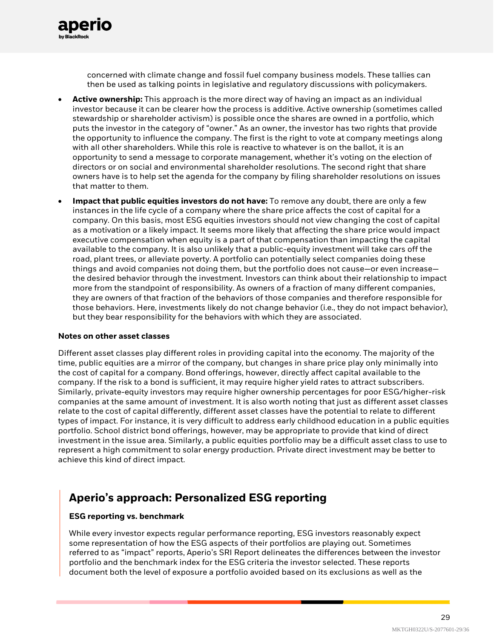

- **Active ownership:** This approach is the more direct way of having an impact as an individual investor because it can be clearer how the process is additive. Active ownership (sometimes called stewardship or shareholder activism) is possible once the shares are owned in a portfolio, which puts the investor in the category of "owner." As an owner, the investor has two rights that provide the opportunity to influence the company. The first is the right to vote at company meetings along with all other shareholders. While this role is reactive to whatever is on the ballot, it is an opportunity to send a message to corporate management, whether it's voting on the election of directors or on social and environmental shareholder resolutions. The second right that share owners have is to help set the agenda for the company by filing shareholder resolutions on issues that matter to them.
- **Impact that public equities investors do not have:** To remove any doubt, there are only a few instances in the life cycle of a company where the share price affects the cost of capital for a company. On this basis, most ESG equities investors should not view changing the cost of capital as a motivation or a likely impact. It seems more likely that affecting the share price would impact executive compensation when equity is a part of that compensation than impacting the capital available to the company. It is also unlikely that a public-equity investment will take cars off the road, plant trees, or alleviate poverty. A portfolio can potentially select companies doing these things and avoid companies not doing them, but the portfolio does not cause—or even increase the desired behavior through the investment. Investors can think about their relationship to impact more from the standpoint of responsibility. As owners of a fraction of many different companies, they are owners of that fraction of the behaviors of those companies and therefore responsible for those behaviors. Here, investments likely do not change behavior (i.e., they do not impact behavior), but they bear responsibility for the behaviors with which they are associated.

#### **Notes on other asset classes**

aper

Different asset classes play different roles in providing capital into the economy. The majority of the time, public equities are a mirror of the company, but changes in share price play only minimally into the cost of capital for a company. Bond offerings, however, directly affect capital available to the company. If the risk to a bond is sufficient, it may require higher yield rates to attract subscribers. Similarly, private-equity investors may require higher ownership percentages for poor ESG/higher-risk companies at the same amount of investment. It is also worth noting that just as different asset classes relate to the cost of capital differently, different asset classes have the potential to relate to different types of impact. For instance, it is very difficult to address early childhood education in a public equities portfolio. School district bond offerings, however, may be appropriate to provide that kind of direct investment in the issue area. Similarly, a public equities portfolio may be a difficult asset class to use to represent a high commitment to solar energy production. Private direct investment may be better to achieve this kind of direct impact.

### **Aperio's approach: Personalized ESG reporting**

#### **ESG reporting vs. benchmark**

While every investor expects regular performance reporting, ESG investors reasonably expect some representation of how the ESG aspects of their portfolios are playing out. Sometimes referred to as "impact" reports, Aperio's SRI Report delineates the differences between the investor portfolio and the benchmark index for the ESG criteria the investor selected. These reports document both the level of exposure a portfolio avoided based on its exclusions as well as the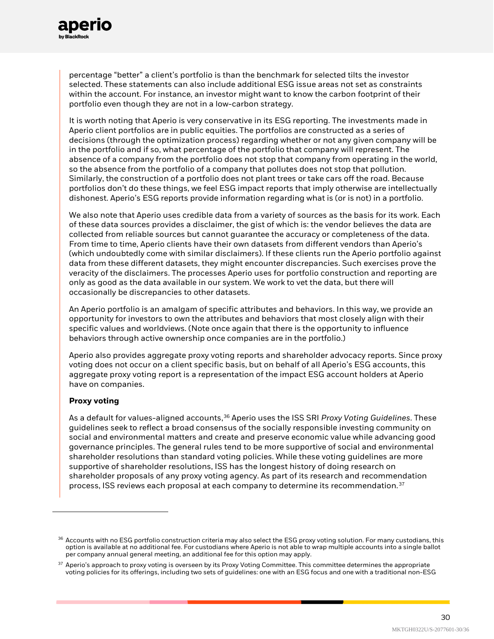

percentage "better" a client's portfolio is than the benchmark for selected tilts the investor selected. These statements can also include additional ESG issue areas not set as constraints within the account. For instance, an investor might want to know the carbon footprint of their portfolio even though they are not in a low-carbon strategy.

It is worth noting that Aperio is very conservative in its ESG reporting. The investments made in Aperio client portfolios are in public equities. The portfolios are constructed as a series of decisions (through the optimization process) regarding whether or not any given company will be in the portfolio and if so, what percentage of the portfolio that company will represent. The absence of a company from the portfolio does not stop that company from operating in the world, so the absence from the portfolio of a company that pollutes does not stop that pollution. Similarly, the construction of a portfolio does not plant trees or take cars off the road. Because portfolios don't do these things, we feel ESG impact reports that imply otherwise are intellectually dishonest. Aperio's ESG reports provide information regarding what is (or is not) in a portfolio.

We also note that Aperio uses credible data from a variety of sources as the basis for its work. Each of these data sources provides a disclaimer, the gist of which is: the vendor believes the data are collected from reliable sources but cannot guarantee the accuracy or completeness of the data. From time to time, Aperio clients have their own datasets from different vendors than Aperio's (which undoubtedly come with similar disclaimers). If these clients run the Aperio portfolio against data from these different datasets, they might encounter discrepancies. Such exercises prove the veracity of the disclaimers. The processes Aperio uses for portfolio construction and reporting are only as good as the data available in our system. We work to vet the data, but there will occasionally be discrepancies to other datasets.

An Aperio portfolio is an amalgam of specific attributes and behaviors. In this way, we provide an opportunity for investors to own the attributes and behaviors that most closely align with their specific values and worldviews. (Note once again that there is the opportunity to influence behaviors through active ownership once companies are in the portfolio.)

Aperio also provides aggregate proxy voting reports and shareholder advocacy reports. Since proxy voting does not occur on a client specific basis, but on behalf of all Aperio's ESG accounts, this aggregate proxy voting report is a representation of the impact ESG account holders at Aperio have on companies.

#### **Proxy voting**

As a default for values-aligned accounts,<sup>[36](#page-29-0)</sup> Aperio uses the ISS SRI *Proxy Voting Guidelines*. These guidelines seek to reflect a broad consensus of the socially responsible investing community on social and environmental matters and create and preserve economic value while advancing good governance principles. The general rules tend to be more supportive of social and environmental shareholder resolutions than standard voting policies. While these voting guidelines are more supportive of shareholder resolutions, ISS has the longest history of doing research on shareholder proposals of any proxy voting agency. As part of its research and recommendation process, ISS reviews each proposal at each company to determine its recommendation.<sup>[37](#page-29-1)</sup>

<span id="page-29-0"></span> $36$  Accounts with no ESG portfolio construction criteria may also select the ESG proxy voting solution. For many custodians, this option is available at no additional fee. For custodians where Aperio is not able to wrap multiple accounts into a single ballot per company annual general meeting, an additional fee for this option may apply.

<span id="page-29-1"></span><sup>&</sup>lt;sup>37</sup> Aperio's approach to proxy voting is overseen by its Proxy Voting Committee. This committee determines the appropriate voting policies for its offerings, including two sets of guidelines: one with an ESG focus and one with a traditional non-ESG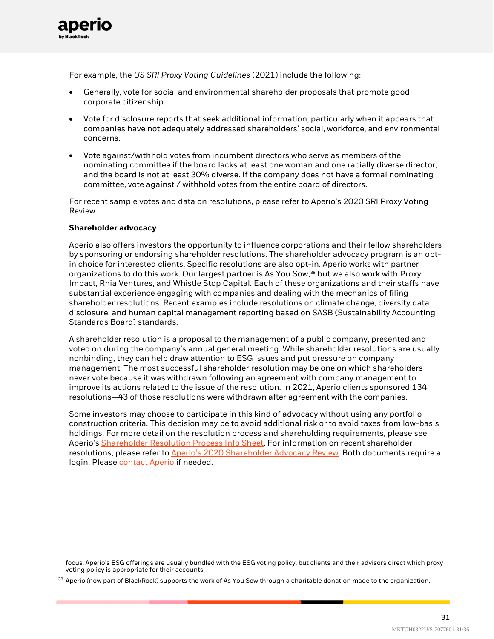

For example, the *US SRI Proxy Voting Guidelines* (2021) include the following:

- Generally, vote for social and environmental shareholder proposals that promote good corporate citizenship.
- Vote for disclosure reports that seek additional information, particularly when it appears that companies have not adequately addressed shareholders' social, workforce, and environmental concerns.
- Vote against/withhold votes from incumbent directors who serve as members of the nominating committee if the board lacks at least one woman and one racially diverse director, and the board is not at least 30% diverse. If the company does not have a formal nominating committee, vote against / withhold votes from the entire board of directors.

For recent sample votes and data on resolutions, please refer to Aperio's [2020 SRI Proxy Voting](https://www.aperiogroup.com/Resources/Info%20Sheets/SRI%20Proxy%20Voting%20Review.Info%20Sheet.pdf)  [Review.](https://www.aperiogroup.com/Resources/Info%20Sheets/SRI%20Proxy%20Voting%20Review.Info%20Sheet.pdf)

#### **Shareholder advocacy**

Aperio also offers investors the opportunity to influence corporations and their fellow shareholders by sponsoring or endorsing shareholder resolutions. The shareholder advocacy program is an optin choice for interested clients. Specific resolutions are also opt-in. Aperio works with partner organizations to do this work. Our largest partner is As You Sow, [38](#page-30-0) but we also work with Proxy Impact, Rhia Ventures, and Whistle Stop Capital. Each of these organizations and their staffs have substantial experience engaging with companies and dealing with the mechanics of filing shareholder resolutions. Recent examples include resolutions on climate change, diversity data disclosure, and human capital management reporting based on SASB (Sustainability Accounting Standards Board) standards.

A shareholder resolution is a proposal to the management of a public company, presented and voted on during the company's annual general meeting. While shareholder resolutions are usually nonbinding, they can help draw attention to ESG issues and put pressure on company management. The most successful shareholder resolution may be one on which shareholders never vote because it was withdrawn following an agreement with company management to improve its actions related to the issue of the resolution. In 2021, Aperio clients sponsored 134 resolutions—43 of those resolutions were withdrawn after agreement with the companies.

Some investors may choose to participate in this kind of advocacy without using any portfolio construction criteria. This decision may be to avoid additional risk or to avoid taxes from low-basis holdings. For more detail on the resolution process and shareholding requirements, please see Aperio'[s Shareholder Resolution Process Info Sheet.](https://www.aperiogroup.com/Resources/Info%20Sheets/Shareholder%20Resolution%20Sponsorship%20Process.pdf) For information on recent shareholder resolutions, please refer to [Aperio's 2020 Shareholder Advocacy Review.](https://www.aperiogroup.com/Resources/Info%20Sheets/Shareholder%20Advocacy%20Review.Info%20Sheet.pdf) Both documents require a login. Pleas[e contact Aperio](https://www.aperiogroup.com/contact-us) if needed.

focus. Aperio's ESG offerings are usually bundled with the ESG voting policy, but clients and their advisors direct which proxy voting policy is appropriate for their accounts.

<span id="page-30-0"></span> $38$  Aperio (now part of BlackRock) supports the work of As You Sow through a charitable donation made to the organization.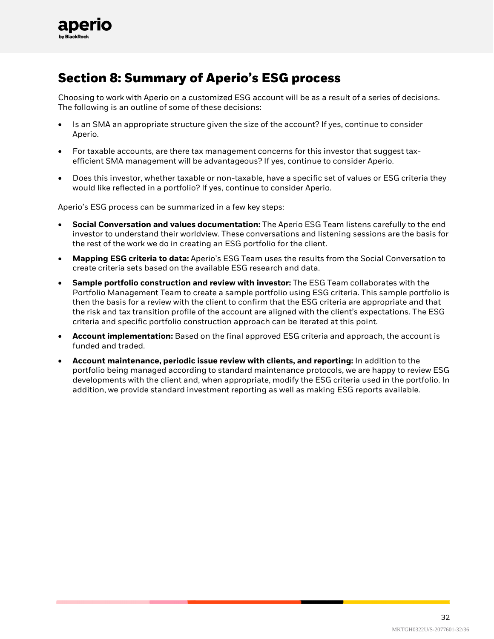

# **Section 8: Summary of Aperio's ESG process**

Choosing to work with Aperio on a customized ESG account will be as a result of a series of decisions. The following is an outline of some of these decisions:

- Is an SMA an appropriate structure given the size of the account? If yes, continue to consider Aperio.
- For taxable accounts, are there tax management concerns for this investor that suggest taxefficient SMA management will be advantageous? If yes, continue to consider Aperio.
- Does this investor, whether taxable or non-taxable, have a specific set of values or ESG criteria they would like reflected in a portfolio? If yes, continue to consider Aperio.

Aperio's ESG process can be summarized in a few key steps:

- **Social Conversation and values documentation:** The Aperio ESG Team listens carefully to the end investor to understand their worldview. These conversations and listening sessions are the basis for the rest of the work we do in creating an ESG portfolio for the client.
- **Mapping ESG criteria to data:** Aperio's ESG Team uses the results from the Social Conversation to create criteria sets based on the available ESG research and data.
- **Sample portfolio construction and review with investor:** The ESG Team collaborates with the Portfolio Management Team to create a sample portfolio using ESG criteria. This sample portfolio is then the basis for a review with the client to confirm that the ESG criteria are appropriate and that the risk and tax transition profile of the account are aligned with the client's expectations. The ESG criteria and specific portfolio construction approach can be iterated at this point.
- **Account implementation:** Based on the final approved ESG criteria and approach, the account is funded and traded.
- **Account maintenance, periodic issue review with clients, and reporting:** In addition to the portfolio being managed according to standard maintenance protocols, we are happy to review ESG developments with the client and, when appropriate, modify the ESG criteria used in the portfolio. In addition, we provide standard investment reporting as well as making ESG reports available.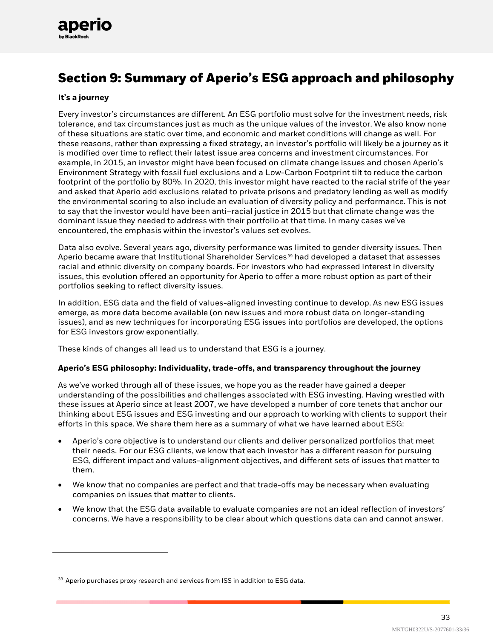

# **Section 9: Summary of Aperio's ESG approach and philosophy**

#### **It's a journey**

Every investor's circumstances are different. An ESG portfolio must solve for the investment needs, risk tolerance, and tax circumstances just as much as the unique values of the investor. We also know none of these situations are static over time, and economic and market conditions will change as well. For these reasons, rather than expressing a fixed strategy, an investor's portfolio will likely be a journey as it is modified over time to reflect their latest issue area concerns and investment circumstances. For example, in 2015, an investor might have been focused on climate change issues and chosen Aperio's Environment Strategy with fossil fuel exclusions and a Low-Carbon Footprint tilt to reduce the carbon footprint of the portfolio by 80%. In 2020, this investor might have reacted to the racial strife of the year and asked that Aperio add exclusions related to private prisons and predatory lending as well as modify the environmental scoring to also include an evaluation of diversity policy and performance. This is not to say that the investor would have been anti–racial justice in 2015 but that climate change was the dominant issue they needed to address with their portfolio at that time. In many cases we've encountered, the emphasis within the investor's values set evolves.

Data also evolve. Several years ago, diversity performance was limited to gender diversity issues. Then Aperio became aware that Institutional Shareholder Services<sup>[39](#page-32-0)</sup> had developed a dataset that assesses racial and ethnic diversity on company boards. For investors who had expressed interest in diversity issues, this evolution offered an opportunity for Aperio to offer a more robust option as part of their portfolios seeking to reflect diversity issues.

In addition, ESG data and the field of values-aligned investing continue to develop. As new ESG issues emerge, as more data become available (on new issues and more robust data on longer-standing issues), and as new techniques for incorporating ESG issues into portfolios are developed, the options for ESG investors grow exponentially.

These kinds of changes all lead us to understand that ESG is a journey.

#### **Aperio's ESG philosophy: Individuality, trade-offs, and transparency throughout the journey**

As we've worked through all of these issues, we hope you as the reader have gained a deeper understanding of the possibilities and challenges associated with ESG investing. Having wrestled with these issues at Aperio since at least 2007, we have developed a number of core tenets that anchor our thinking about ESG issues and ESG investing and our approach to working with clients to support their efforts in this space. We share them here as a summary of what we have learned about ESG:

- Aperio's core objective is to understand our clients and deliver personalized portfolios that meet their needs. For our ESG clients, we know that each investor has a different reason for pursuing ESG, different impact and values-alignment objectives, and different sets of issues that matter to them.
- We know that no companies are perfect and that trade-offs may be necessary when evaluating companies on issues that matter to clients.
- We know that the ESG data available to evaluate companies are not an ideal reflection of investors' concerns. We have a responsibility to be clear about which questions data can and cannot answer.

<span id="page-32-0"></span> $39$  Aperio purchases proxy research and services from ISS in addition to ESG data.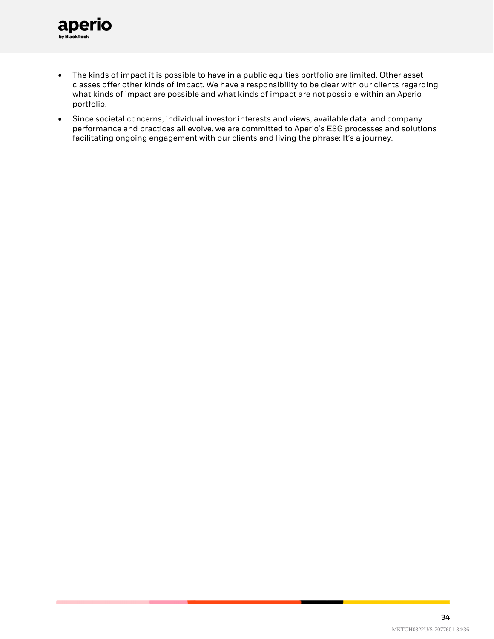

- The kinds of impact it is possible to have in a public equities portfolio are limited. Other asset classes offer other kinds of impact. We have a responsibility to be clear with our clients regarding what kinds of impact are possible and what kinds of impact are not possible within an Aperio portfolio.
- Since societal concerns, individual investor interests and views, available data, and company performance and practices all evolve, we are committed to Aperio's ESG processes and solutions facilitating ongoing engagement with our clients and living the phrase: It's a journey.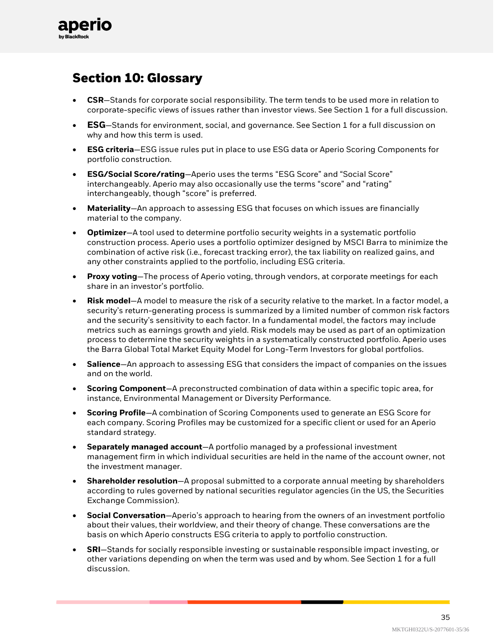

# **Section 10: Glossary**

- **CSR**—Stands for corporate social responsibility. The term tends to be used more in relation to corporate-specific views of issues rather than investor views. See Section 1 for a full discussion.
- **ESG**—Stands for environment, social, and governance. See Section 1 for a full discussion on why and how this term is used.
- **ESG criteria**—ESG issue rules put in place to use ESG data or Aperio Scoring Components for portfolio construction.
- **ESG/Social Score/rating**—Aperio uses the terms "ESG Score" and "Social Score" interchangeably. Aperio may also occasionally use the terms "score" and "rating" interchangeably, though "score" is preferred.
- **Materiality**—An approach to assessing ESG that focuses on which issues are financially material to the company.
- **Optimizer**—A tool used to determine portfolio security weights in a systematic portfolio construction process. Aperio uses a portfolio optimizer designed by MSCI Barra to minimize the combination of active risk (i.e., forecast tracking error), the tax liability on realized gains, and any other constraints applied to the portfolio, including ESG criteria.
- **Proxy voting**—The process of Aperio voting, through vendors, at corporate meetings for each share in an investor's portfolio.
- **Risk model**—A model to measure the risk of a security relative to the market. In a factor model, a security's return-generating process is summarized by a limited number of common risk factors and the security's sensitivity to each factor. In a fundamental model, the factors may include metrics such as earnings growth and yield. Risk models may be used as part of an optimization process to determine the security weights in a systematically constructed portfolio. Aperio uses the Barra Global Total Market Equity Model for Long-Term Investors for global portfolios.
- **Salience**—An approach to assessing ESG that considers the impact of companies on the issues and on the world.
- **Scoring Component**—A preconstructed combination of data within a specific topic area, for instance, Environmental Management or Diversity Performance.
- **Scoring Profile**—A combination of Scoring Components used to generate an ESG Score for each company. Scoring Profiles may be customized for a specific client or used for an Aperio standard strategy.
- **Separately managed account**—A portfolio managed by a professional investment management firm in which individual securities are held in the name of the account owner, not the investment manager.
- **Shareholder resolution**—A proposal submitted to a corporate annual meeting by shareholders according to rules governed by national securities regulator agencies (in the US, the Securities Exchange Commission).
- **Social Conversation**—Aperio's approach to hearing from the owners of an investment portfolio about their values, their worldview, and their theory of change. These conversations are the basis on which Aperio constructs ESG criteria to apply to portfolio construction.
- **SRI**—Stands for socially responsible investing or sustainable responsible impact investing, or other variations depending on when the term was used and by whom. See Section 1 for a full discussion.